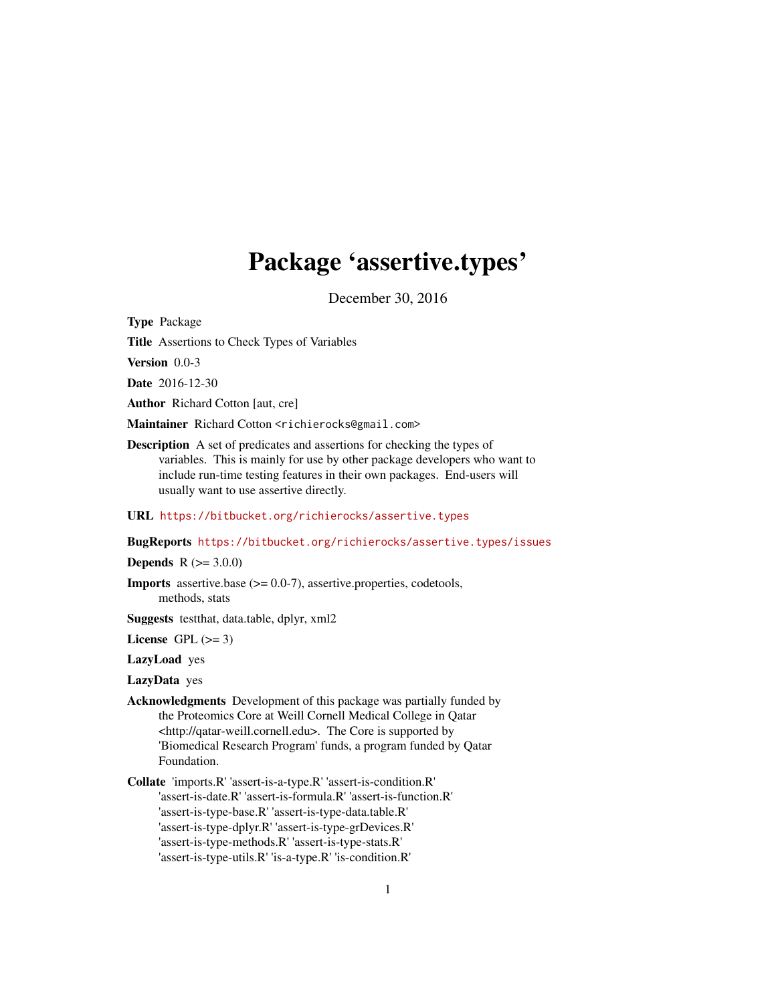# Package 'assertive.types'

December 30, 2016

<span id="page-0-0"></span>Type Package

Title Assertions to Check Types of Variables

Version 0.0-3

Date 2016-12-30

Author Richard Cotton [aut, cre]

Maintainer Richard Cotton <richierocks@gmail.com>

Description A set of predicates and assertions for checking the types of variables. This is mainly for use by other package developers who want to include run-time testing features in their own packages. End-users will usually want to use assertive directly.

## URL <https://bitbucket.org/richierocks/assertive.types>

BugReports <https://bitbucket.org/richierocks/assertive.types/issues>

**Depends**  $R (= 3.0.0)$ 

Imports assertive.base (>= 0.0-7), assertive.properties, codetools, methods, stats

Suggests testthat, data.table, dplyr, xml2

License GPL  $(>= 3)$ 

LazyLoad yes

LazyData yes

- Acknowledgments Development of this package was partially funded by the Proteomics Core at Weill Cornell Medical College in Qatar <http://qatar-weill.cornell.edu>. The Core is supported by 'Biomedical Research Program' funds, a program funded by Qatar Foundation.
- Collate 'imports.R' 'assert-is-a-type.R' 'assert-is-condition.R' 'assert-is-date.R' 'assert-is-formula.R' 'assert-is-function.R' 'assert-is-type-base.R' 'assert-is-type-data.table.R' 'assert-is-type-dplyr.R' 'assert-is-type-grDevices.R' 'assert-is-type-methods.R' 'assert-is-type-stats.R' 'assert-is-type-utils.R' 'is-a-type.R' 'is-condition.R'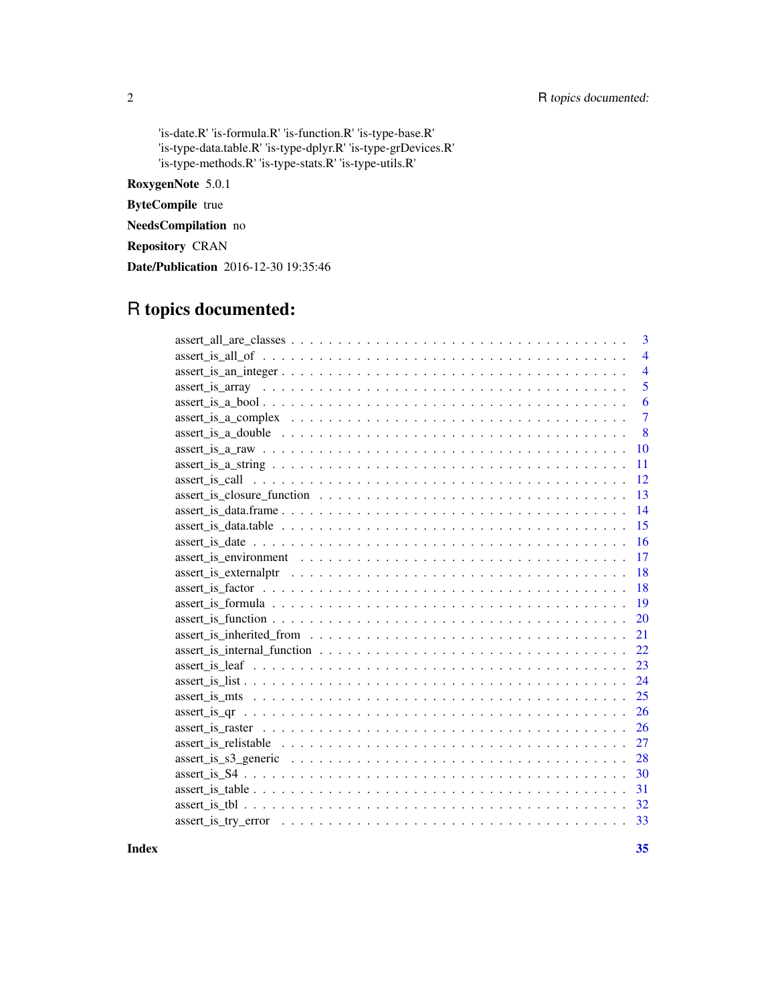## 2 R topics documented:

'is-date.R' 'is-formula.R' 'is-function.R' 'is-type-base.R' 'is-type-data.table.R' 'is-type-dplyr.R' 'is-type-grDevices.R' 'is-type-methods.R' 'is-type-stats.R' 'is-type-utils.R'

RoxygenNote 5.0.1

ByteCompile true

NeedsCompilation no

Repository CRAN

Date/Publication 2016-12-30 19:35:46

## R topics documented:

| 3                                                                                                                          |
|----------------------------------------------------------------------------------------------------------------------------|
| $\overline{4}$                                                                                                             |
| $\overline{4}$                                                                                                             |
| 5                                                                                                                          |
| 6                                                                                                                          |
| $\overline{7}$                                                                                                             |
| 8                                                                                                                          |
| $assert\_ is_a_raw \ldots \ldots \ldots \ldots \ldots \ldots \ldots \ldots \ldots \ldots \ldots \ldots \ldots$<br>10       |
| $assert_is_a_string \dots \dots \dots \dots \dots \dots \dots \dots \dots \dots \dots \dots \dots \dots \dots \dots$<br>11 |
| 12                                                                                                                         |
| 13                                                                                                                         |
| 14                                                                                                                         |
| 15<br>$assert_i$ is $_data$ .                                                                                              |
| 16                                                                                                                         |
| 17                                                                                                                         |
| 18                                                                                                                         |
| 18                                                                                                                         |
| 19                                                                                                                         |
| 20                                                                                                                         |
| 21                                                                                                                         |
| 22                                                                                                                         |
| 23                                                                                                                         |
| 24                                                                                                                         |
| 25                                                                                                                         |
| 26                                                                                                                         |
| 26                                                                                                                         |
| 27                                                                                                                         |
| 28                                                                                                                         |
| 30                                                                                                                         |
| 31                                                                                                                         |
| 32                                                                                                                         |
|                                                                                                                            |
|                                                                                                                            |

**Index** [35](#page-34-0)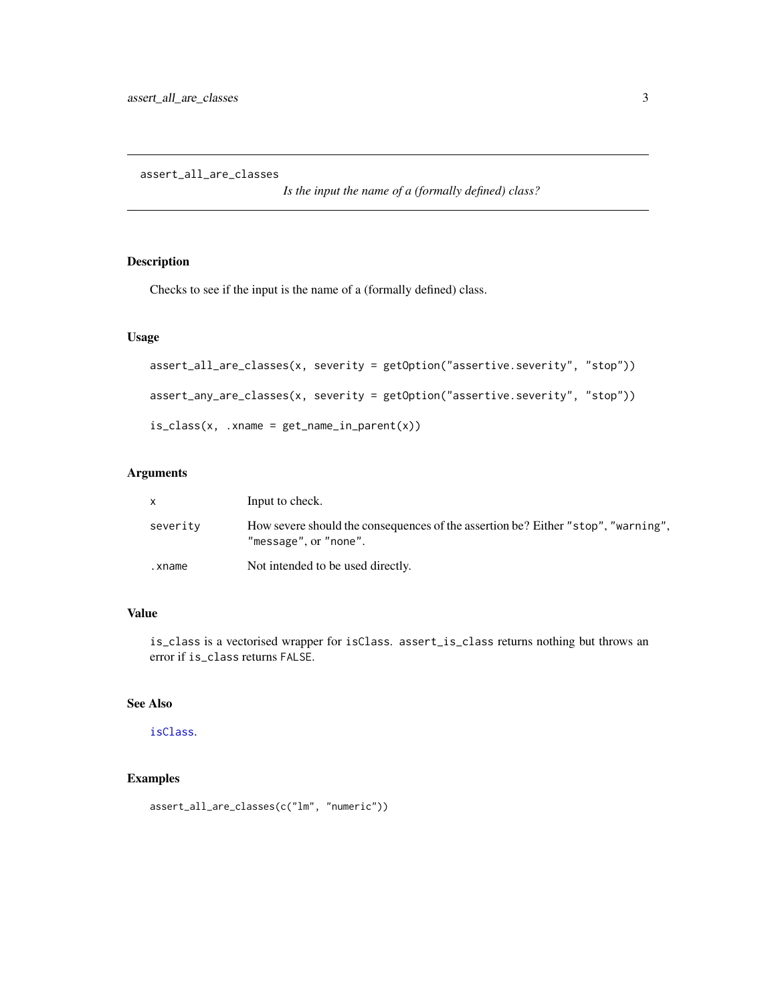<span id="page-2-0"></span>assert\_all\_are\_classes

*Is the input the name of a (formally defined) class?*

## Description

Checks to see if the input is the name of a (formally defined) class.

## Usage

```
assert_all_are_classes(x, severity = getOption("assertive.severity", "stop"))
assert_any_are_classes(x, severity = getOption("assertive.severity", "stop"))
is\_class(x, .xname = get\_name_in\_parent(x))
```
## Arguments

|          | Input to check.                                                                                            |
|----------|------------------------------------------------------------------------------------------------------------|
| severity | How severe should the consequences of the assertion be? Either "stop", "warning",<br>"message", or "none". |
| .xname   | Not intended to be used directly.                                                                          |

## Value

is\_class is a vectorised wrapper for isClass. assert\_is\_class returns nothing but throws an error if is\_class returns FALSE.

## See Also

## [isClass](#page-0-0).

```
assert_all_are_classes(c("lm", "numeric"))
```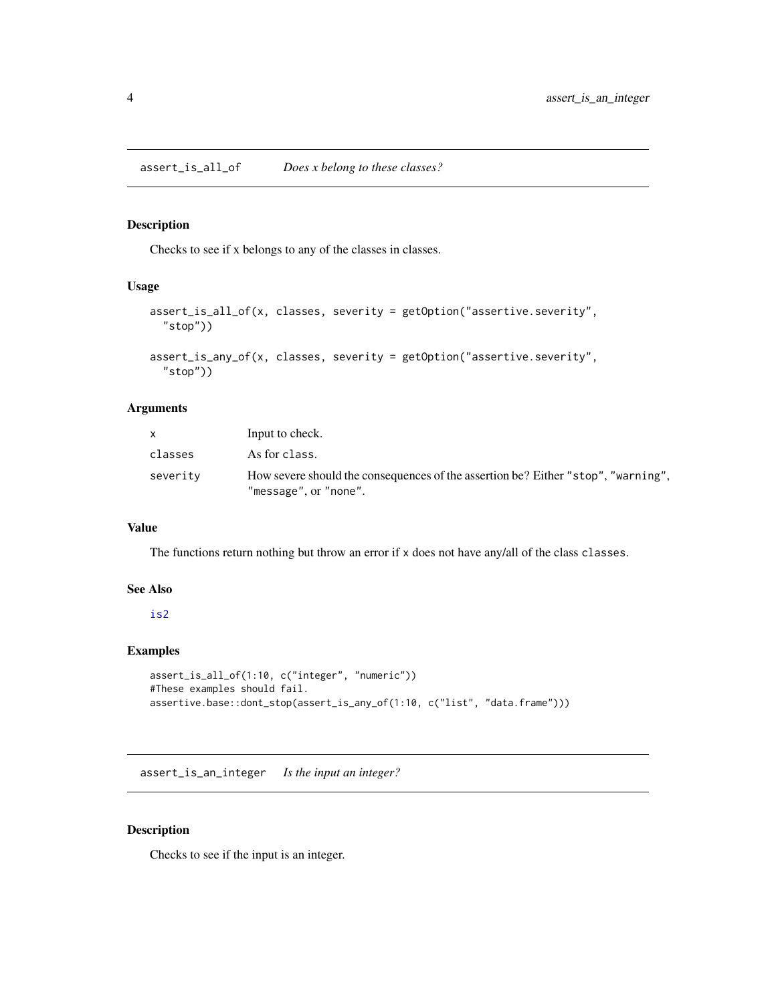<span id="page-3-0"></span>assert\_is\_all\_of *Does x belong to these classes?*

#### Description

Checks to see if x belongs to any of the classes in classes.

## Usage

```
assert_is_all_of(x, classes, severity = getOption("assertive.severity",
  "stop"))
```

```
assert_is_any_of(x, classes, severity = getOption("assertive.severity",
  "stop"))
```
## Arguments

|          | Input to check.                                                                                            |
|----------|------------------------------------------------------------------------------------------------------------|
| classes  | As for class.                                                                                              |
| severity | How severe should the consequences of the assertion be? Either "stop", "warning",<br>"message", or "none". |

#### Value

The functions return nothing but throw an error if x does not have any/all of the class classes.

#### See Also

#### [is2](#page-0-0)

## Examples

```
assert_is_all_of(1:10, c("integer", "numeric"))
#These examples should fail.
assertive.base::dont_stop(assert_is_any_of(1:10, c("list", "data.frame")))
```
assert\_is\_an\_integer *Is the input an integer?*

## <span id="page-3-1"></span>Description

Checks to see if the input is an integer.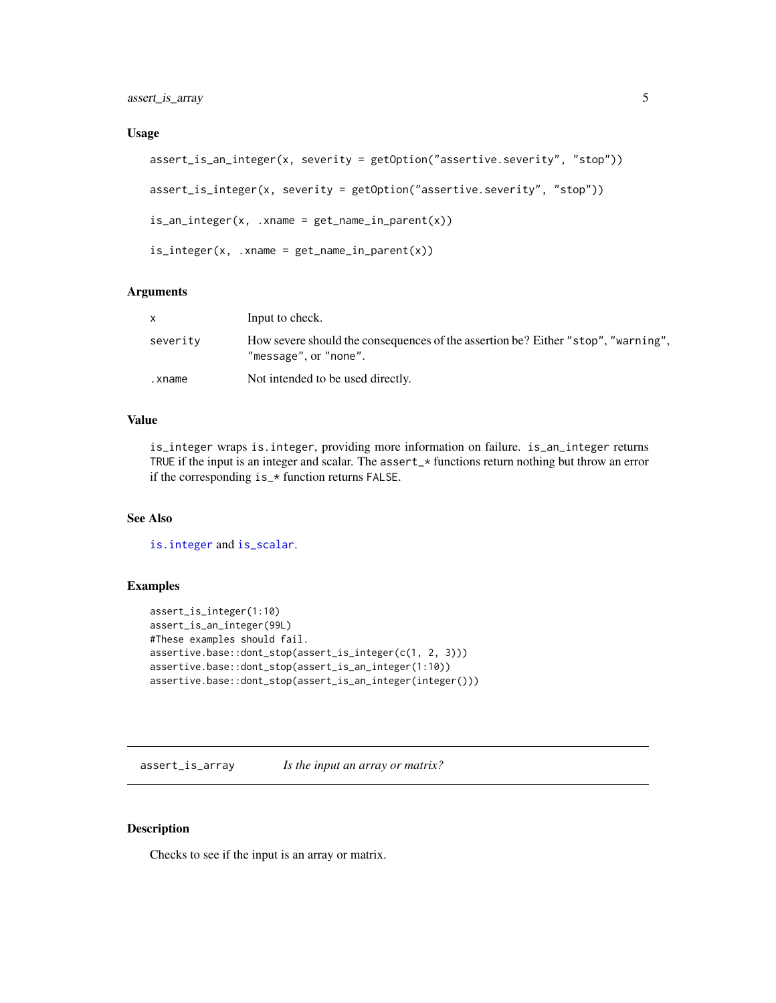<span id="page-4-0"></span>assert\_is\_array 5

#### Usage

```
assert_is_an_integer(x, severity = getOption("assertive.severity", "stop"))
assert_is_integer(x, severity = getOption("assertive.severity", "stop"))
is_an\_integer(x, xname = get_name_in\_parent(x))is\_integer(x, .xname = get\_name_in\_parent(x))
```
## Arguments

|          | Input to check.                                                                                            |
|----------|------------------------------------------------------------------------------------------------------------|
| severity | How severe should the consequences of the assertion be? Either "stop", "warning",<br>"message", or "none". |
| .xname   | Not intended to be used directly.                                                                          |

## Value

is\_integer wraps is.integer, providing more information on failure. is\_an\_integer returns TRUE if the input is an integer and scalar. The assert\_\* functions return nothing but throw an error if the corresponding is\_\* function returns FALSE.

## See Also

[is.integer](#page-0-0) and [is\\_scalar](#page-0-0).

## Examples

```
assert_is_integer(1:10)
assert_is_an_integer(99L)
#These examples should fail.
assertive.base::dont_stop(assert_is_integer(c(1, 2, 3)))
assertive.base::dont_stop(assert_is_an_integer(1:10))
assertive.base::dont_stop(assert_is_an_integer(integer()))
```
assert\_is\_array *Is the input an array or matrix?*

## Description

Checks to see if the input is an array or matrix.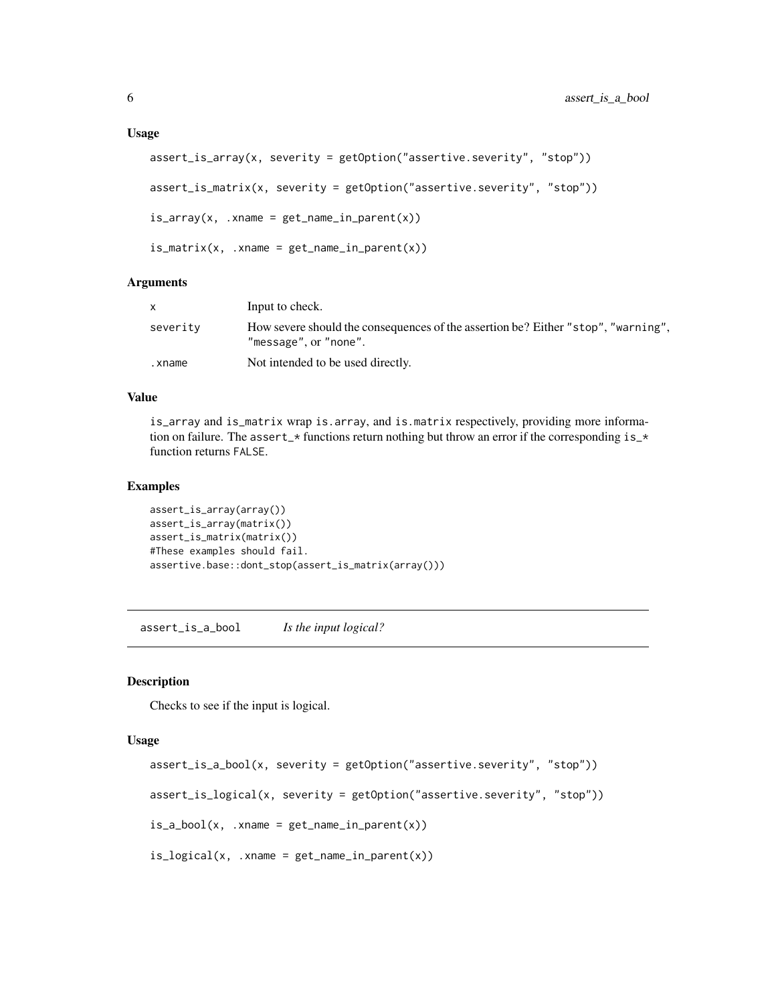#### <span id="page-5-0"></span>Usage

```
assert_is_array(x, severity = getOption("assertive.severity", "stop"))
assert_is_matrix(x, severity = getOption("assertive.severity", "stop"))
is_array(x, xname = get_name_in_parent(x))is_matrix(x, xname = get_name_in.parent(x))
```
### Arguments

|          | Input to check.                                                                                            |
|----------|------------------------------------------------------------------------------------------------------------|
| severity | How severe should the consequences of the assertion be? Either "stop", "warning",<br>"message", or "none". |
| .xname   | Not intended to be used directly.                                                                          |

## Value

is\_array and is\_matrix wrap is.array, and is.matrix respectively, providing more information on failure. The assert\_\* functions return nothing but throw an error if the corresponding is\_\* function returns FALSE.

#### Examples

```
assert_is_array(array())
assert_is_array(matrix())
assert_is_matrix(matrix())
#These examples should fail.
assertive.base::dont_stop(assert_is_matrix(array()))
```
assert\_is\_a\_bool *Is the input logical?*

## **Description**

Checks to see if the input is logical.

```
assert_is_a_bool(x, severity = getOption("assertive.severity", "stop"))
assert_is_logical(x, severity = getOption("assertive.severity", "stop"))
is_a_bool(x, xname = get_name_in_parent(x))is\_logical(x, .xname = get\_name_in\_parent(x))
```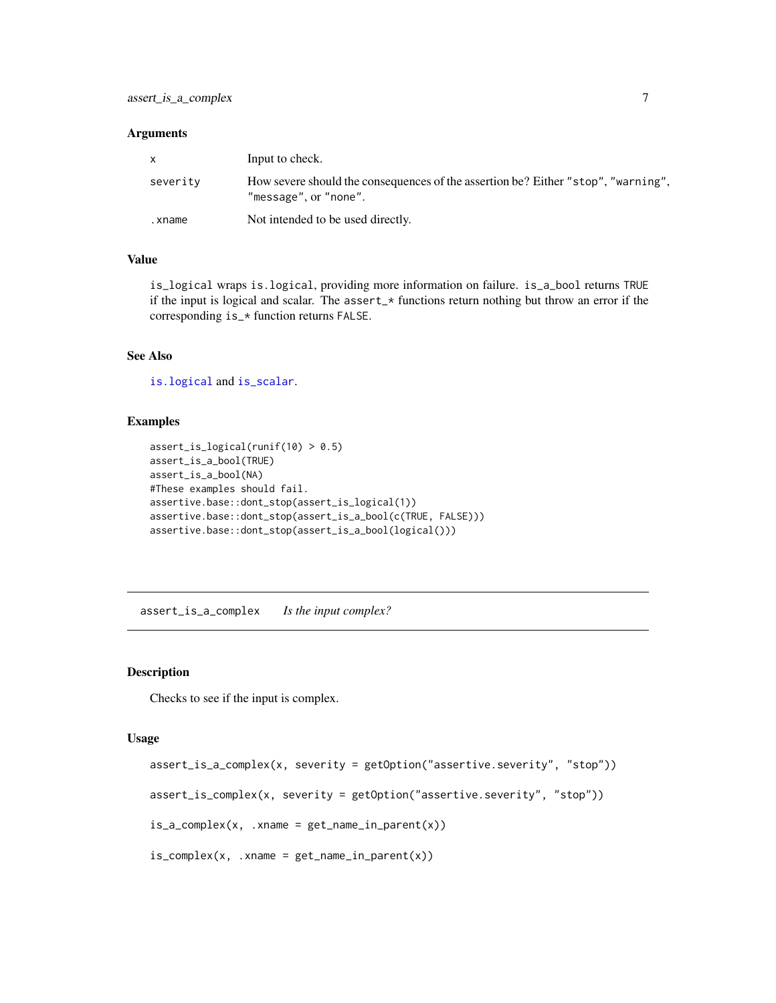<span id="page-6-0"></span>

| $\mathsf{x}$ | Input to check.                                                                                            |
|--------------|------------------------------------------------------------------------------------------------------------|
| severity     | How severe should the consequences of the assertion be? Either "stop", "warning",<br>"message", or "none". |
| .xname       | Not intended to be used directly.                                                                          |

## Value

is\_logical wraps is.logical, providing more information on failure. is\_a\_bool returns TRUE if the input is logical and scalar. The assert\_\* functions return nothing but throw an error if the corresponding is\_\* function returns FALSE.

## See Also

[is.logical](#page-0-0) and [is\\_scalar](#page-0-0).

#### Examples

```
assert_is_logical(runif(10) > 0.5)
assert_is_a_bool(TRUE)
assert_is_a_bool(NA)
#These examples should fail.
assertive.base::dont_stop(assert_is_logical(1))
assertive.base::dont_stop(assert_is_a_bool(c(TRUE, FALSE)))
assertive.base::dont_stop(assert_is_a_bool(logical()))
```
assert\_is\_a\_complex *Is the input complex?*

#### Description

Checks to see if the input is complex.

```
assert_is_a_complex(x, severity = getOption("assertive.severity", "stop"))
assert_is_complex(x, severity = getOption("assertive.severity", "stop"))
is_a_{\text{complex}(x, x) .xname = get_name_in_parent(x))
is\_complex(x, xname = get_name_in\_parent(x))
```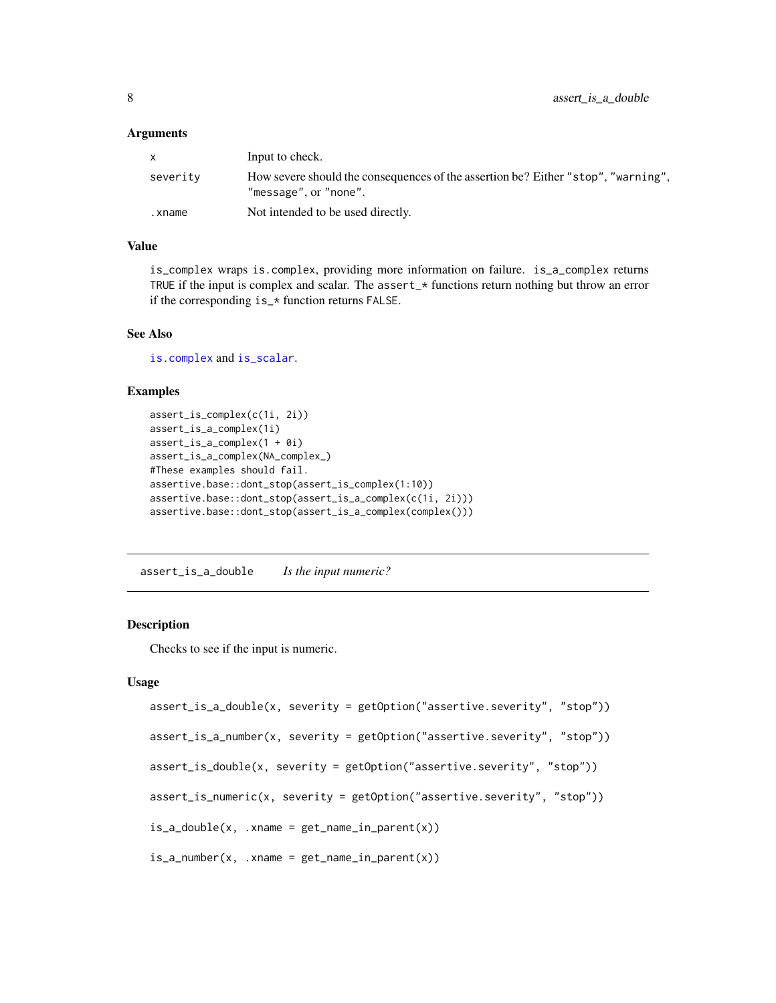<span id="page-7-0"></span>

| $\mathsf{X}$ | Input to check.                                                                                            |
|--------------|------------------------------------------------------------------------------------------------------------|
| severity     | How severe should the consequences of the assertion be? Either "stop", "warning",<br>"message", or "none". |
| .xname       | Not intended to be used directly.                                                                          |

#### Value

is\_complex wraps is.complex, providing more information on failure. is\_a\_complex returns TRUE if the input is complex and scalar. The assert\_\* functions return nothing but throw an error if the corresponding is\_\* function returns FALSE.

## See Also

[is.complex](#page-0-0) and [is\\_scalar](#page-0-0).

#### Examples

```
assert_is_complex(c(1i, 2i))
assert_is_a_complex(1i)
assert_is_a_complex(1 + 0i)
assert_is_a_complex(NA_complex_)
#These examples should fail.
assertive.base::dont_stop(assert_is_complex(1:10))
assertive.base::dont_stop(assert_is_a_complex(c(1i, 2i)))
assertive.base::dont_stop(assert_is_a_complex(complex()))
```
assert\_is\_a\_double *Is the input numeric?*

#### Description

Checks to see if the input is numeric.

```
assert_is_a_double(x, severity = getOption("assertive.severity", "stop"))
assert_is_a_number(x, severity = getOption("assertive.severity", "stop"))
assert_is_double(x, severity = getOption("assertive.severity", "stop"))
assert_is_numeric(x, severity = getOption("assertive.severity", "stop"))
is_a_double(x, .xname = get_name_in_parent(x))
is_a_number(x, xname = get_name_in.parent(x))
```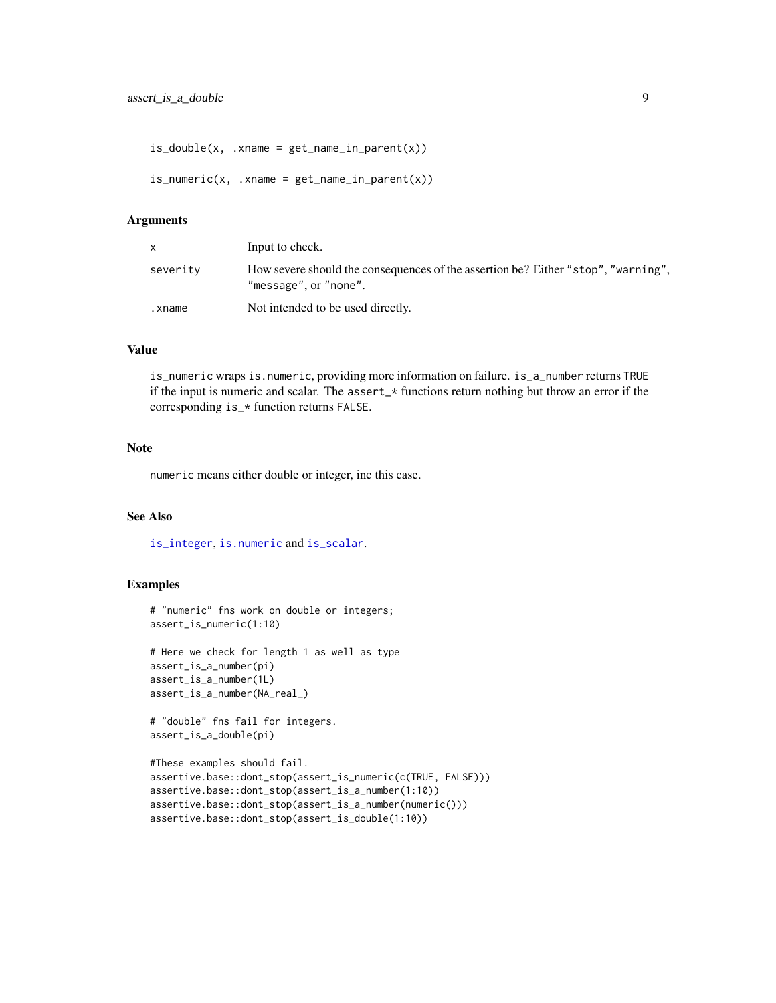```
is\_double(x, .xname = get_name_in\_parent(x))is\_numeric(x, .xname = get\_name_in\_parent(x))
```

| $\mathsf{x}$ | Input to check.                                                                                            |
|--------------|------------------------------------------------------------------------------------------------------------|
| severity     | How severe should the consequences of the assertion be? Either "stop", "warning",<br>"message", or "none". |
| .xname       | Not intended to be used directly.                                                                          |

#### Value

is\_numeric wraps is.numeric, providing more information on failure. is\_a\_number returns TRUE if the input is numeric and scalar. The assert\_ $\star$  functions return nothing but throw an error if the corresponding is\_\* function returns FALSE.

#### **Note**

numeric means either double or integer, inc this case.

## See Also

[is\\_integer](#page-3-1), [is.numeric](#page-0-0) and [is\\_scalar](#page-0-0).

#### Examples

```
# "numeric" fns work on double or integers;
assert_is_numeric(1:10)
```

```
# Here we check for length 1 as well as type
assert_is_a_number(pi)
assert_is_a_number(1L)
assert_is_a_number(NA_real_)
```
# "double" fns fail for integers. assert\_is\_a\_double(pi)

```
#These examples should fail.
assertive.base::dont_stop(assert_is_numeric(c(TRUE, FALSE)))
assertive.base::dont_stop(assert_is_a_number(1:10))
assertive.base::dont_stop(assert_is_a_number(numeric()))
assertive.base::dont_stop(assert_is_double(1:10))
```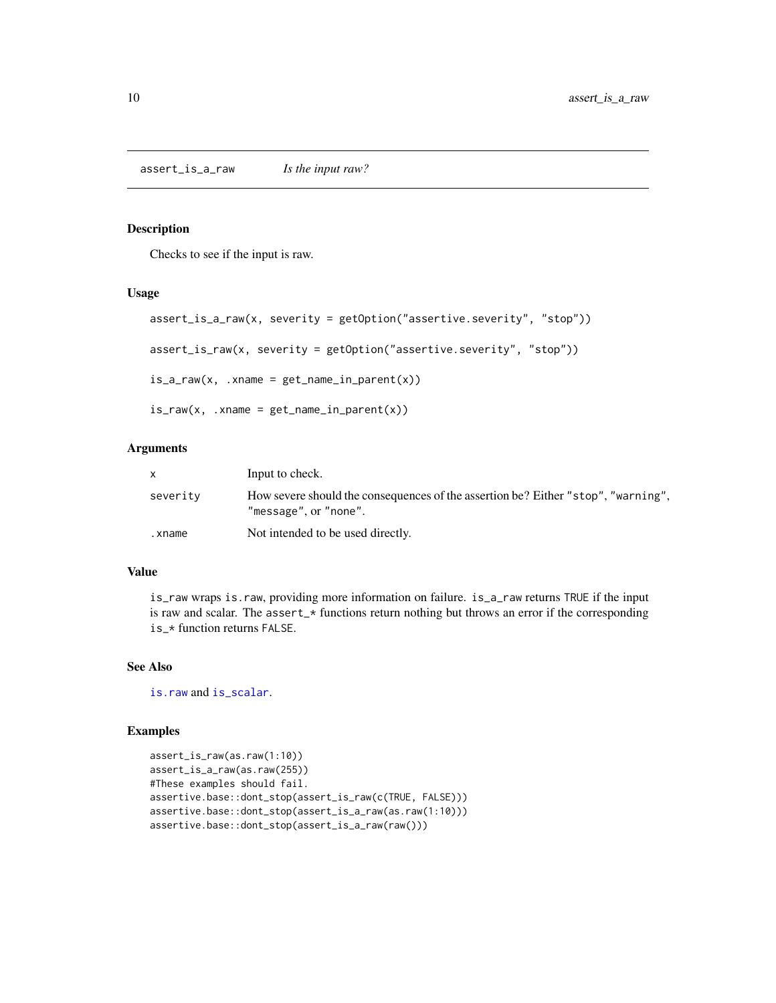<span id="page-9-0"></span>Checks to see if the input is raw.

#### Usage

```
assert_is_a_raw(x, severity = getOption("assertive.severity", "stop"))
assert_is_raw(x, severity = getOption("assertive.severity", "stop"))
is_a-raw(x, .xname = get_name_in-parent(x))
is_{raw}(x, xname = get_{name_in\_parent}(x))
```
#### Arguments

|          | Input to check.                                                                                            |
|----------|------------------------------------------------------------------------------------------------------------|
| severity | How severe should the consequences of the assertion be? Either "stop", "warning",<br>"message", or "none". |
| .xname   | Not intended to be used directly.                                                                          |

## Value

is\_raw wraps is.raw, providing more information on failure. is\_a\_raw returns TRUE if the input is raw and scalar. The assert\_\* functions return nothing but throws an error if the corresponding is\_\* function returns FALSE.

## See Also

[is.raw](#page-0-0) and [is\\_scalar](#page-0-0).

```
assert_is_raw(as.raw(1:10))
assert_is_a_raw(as.raw(255))
#These examples should fail.
assertive.base::dont_stop(assert_is_raw(c(TRUE, FALSE)))
assertive.base::dont_stop(assert_is_a_raw(as.raw(1:10)))
assertive.base::dont_stop(assert_is_a_raw(raw()))
```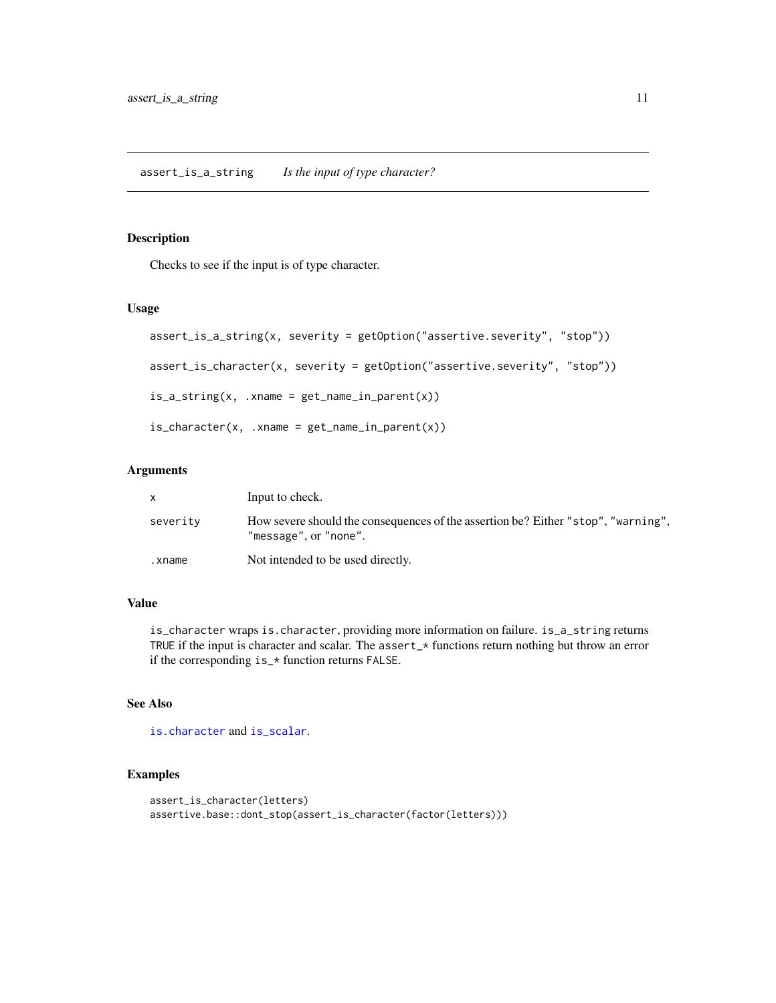<span id="page-10-0"></span>assert\_is\_a\_string *Is the input of type character?*

## Description

Checks to see if the input is of type character.

## Usage

```
assert_is_a_string(x, severity = getOption("assertive.severity", "stop"))
assert_is_character(x, severity = getOption("assertive.severity", "stop"))
is_a_sstring(x, xname = get_name_in_parent(x))is_{\text{c}}\text{character}(x, \dots, x) .xname = get_name_in_parent(x))
```
## Arguments

| X.       | Input to check.                                                                                            |
|----------|------------------------------------------------------------------------------------------------------------|
| severity | How severe should the consequences of the assertion be? Either "stop", "warning",<br>"message", or "none". |
| .xname   | Not intended to be used directly.                                                                          |

## Value

is\_character wraps is.character, providing more information on failure. is\_a\_string returns TRUE if the input is character and scalar. The assert\_\* functions return nothing but throw an error if the corresponding is\_\* function returns FALSE.

## See Also

```
is.character and is_scalar.
```

```
assert_is_character(letters)
assertive.base::dont_stop(assert_is_character(factor(letters)))
```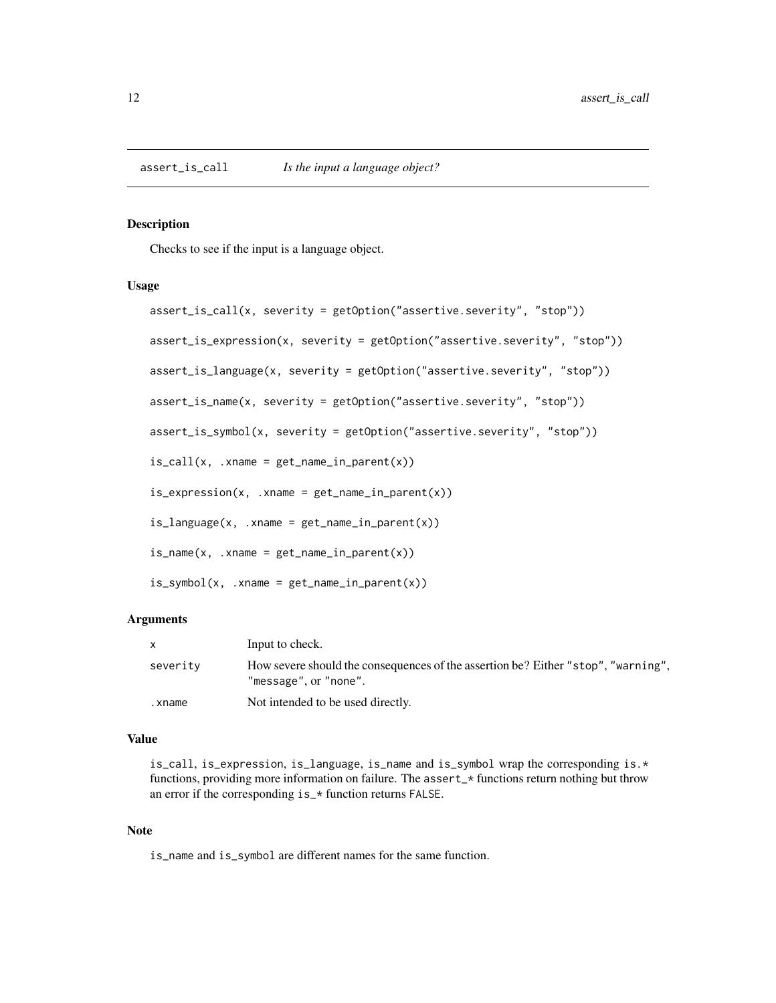<span id="page-11-1"></span><span id="page-11-0"></span>Checks to see if the input is a language object.

## Usage

```
assert_is_call(x, severity = getOption("assertive.severity", "stop"))
assert_is_expression(x, severity = getOption("assertive.severity", "stop"))
assert_is_language(x, severity = getOption("assertive.severity", "stop"))
assert_is_name(x, severity = getOption("assertive.severity", "stop"))
assert_is_symbol(x, severity = getOption("assertive.severity", "stop"))
is\_call(x, .xname = get_name_in\_parent(x))is\_expression(x, .xname = get_name_in\_parent(x))is_language(x, .xname = get_name_in_parent(x))
is_name(x, xname = get_name_in.parent(x))is\_symbol(x, .xname = get\_name_in\_parent(x))
```
## Arguments

| X        | Input to check.                                                                                            |
|----------|------------------------------------------------------------------------------------------------------------|
| severity | How severe should the consequences of the assertion be? Either "stop", "warning",<br>"message", or "none". |
| .xname   | Not intended to be used directly.                                                                          |

#### Value

is\_call, is\_expression, is\_language, is\_name and is\_symbol wrap the corresponding is.\* functions, providing more information on failure. The assert\_\* functions return nothing but throw an error if the corresponding is\_\* function returns FALSE.

#### Note

is\_name and is\_symbol are different names for the same function.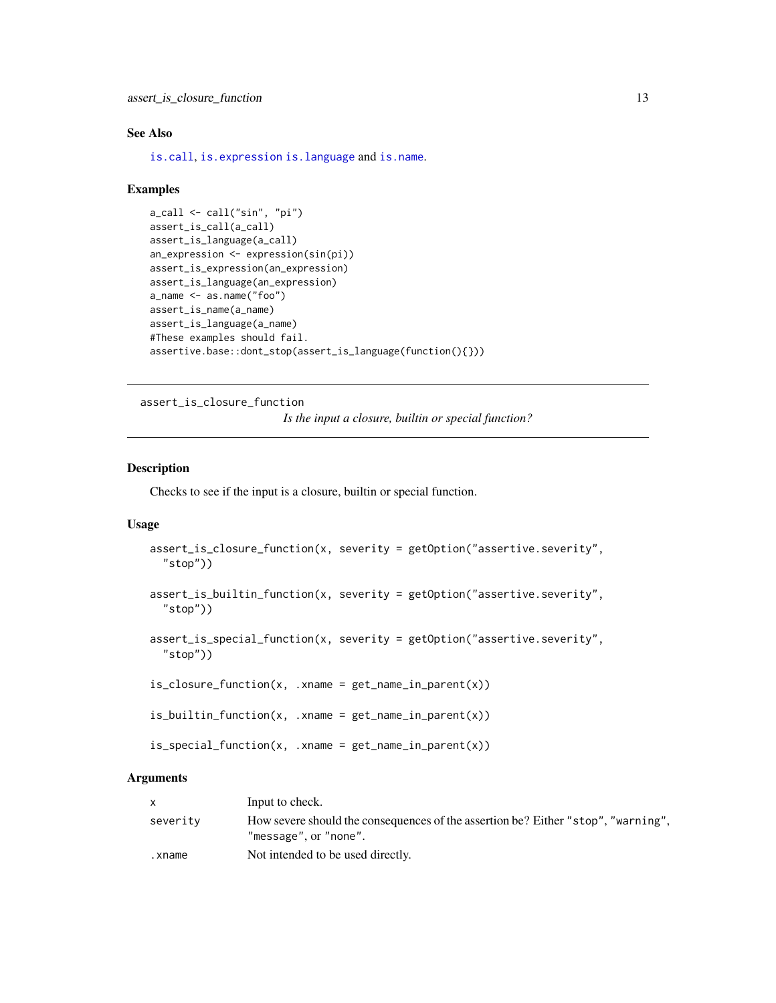## <span id="page-12-0"></span>See Also

[is.call](#page-0-0), [is.expression](#page-0-0) [is.language](#page-0-0) and [is.name](#page-0-0).

#### Examples

```
a_call <- call("sin", "pi")
assert_is_call(a_call)
assert_is_language(a_call)
an_expression <- expression(sin(pi))
assert_is_expression(an_expression)
assert_is_language(an_expression)
a_name <- as.name("foo")
assert_is_name(a_name)
assert_is_language(a_name)
#These examples should fail.
assertive.base::dont_stop(assert_is_language(function(){}))
```
assert\_is\_closure\_function

*Is the input a closure, builtin or special function?*

## <span id="page-12-1"></span>Description

Checks to see if the input is a closure, builtin or special function.

#### Usage

```
assert_is_closure_function(x, severity = getOption("assertive.severity",
  "stop"))
assert_is_builtin_function(x, severity = getOption("assertive.severity",
  "stop"))
assert_is_special_function(x, severity = getOption("assertive.severity",
  "stop"))
is\_closure\_function(x, .xname = get\_name_in\_parent(x))is\_builtin\_function(x, .xname = get\_name_in\_parent(x))is_special_function(x, .xname = get_name_in_parent(x))
```
#### Arguments

|          | Input to check.                                                                                            |
|----------|------------------------------------------------------------------------------------------------------------|
| severity | How severe should the consequences of the assertion be? Either "stop", "warning",<br>"message", or "none". |
| .xname   | Not intended to be used directly.                                                                          |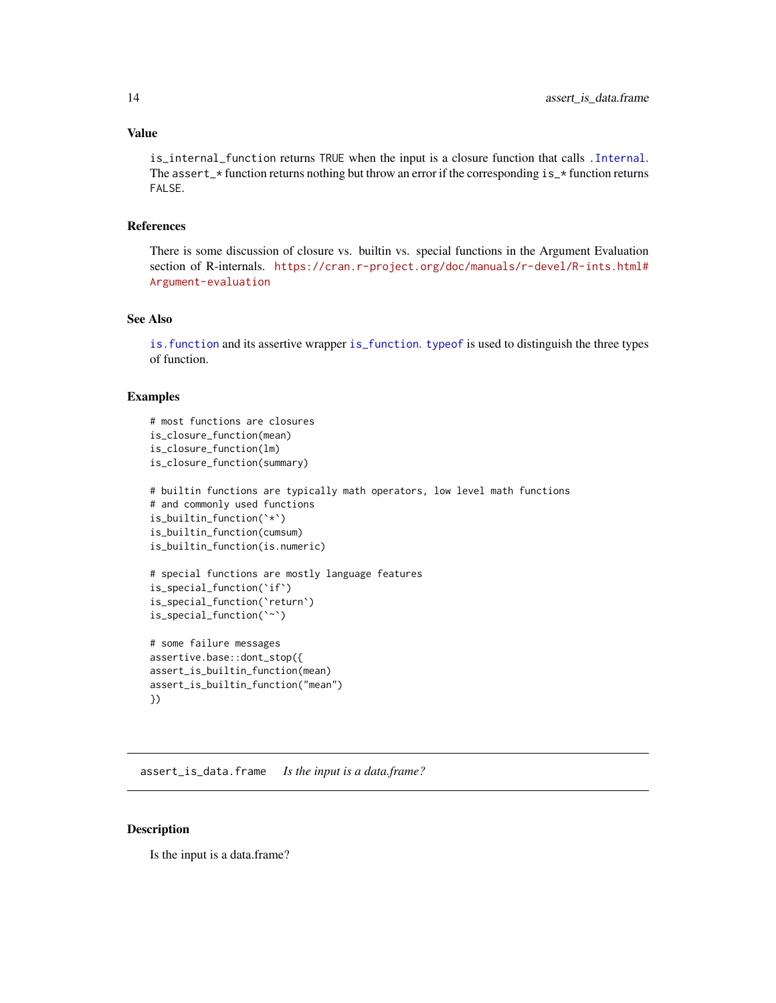#### <span id="page-13-0"></span>Value

is\_internal\_function returns TRUE when the input is a closure function that calls [.Internal](#page-0-0). The assert\_ $\star$  function returns nothing but throw an error if the corresponding is\_ $\star$  function returns FALSE.

## References

There is some discussion of closure vs. builtin vs. special functions in the Argument Evaluation section of R-internals. [https://cran.r-project.org/doc/manuals/r-devel/R-ints.html#](https://cran.r-project.org/doc/manuals/r-devel/R-ints.html#Argument-evaluation) [Argument-evaluation](https://cran.r-project.org/doc/manuals/r-devel/R-ints.html#Argument-evaluation)

#### See Also

[is.function](#page-0-0) and its assertive wrapper [is\\_function](#page-19-1). [typeof](#page-0-0) is used to distinguish the three types of function.

## Examples

```
# most functions are closures
is closure function(mean)
is_closure_function(lm)
is_closure_function(summary)
# builtin functions are typically math operators, low level math functions
# and commonly used functions
is_builtin_function(`*`)
is_builtin_function(cumsum)
is_builtin_function(is.numeric)
# special functions are mostly language features
is_special_function(`if`)
is_special_function(`return`)
is_special_function(`~`)
# some failure messages
assertive.base::dont_stop({
assert_is_builtin_function(mean)
assert_is_builtin_function("mean")
})
```
assert\_is\_data.frame *Is the input is a data.frame?*

## Description

Is the input is a data.frame?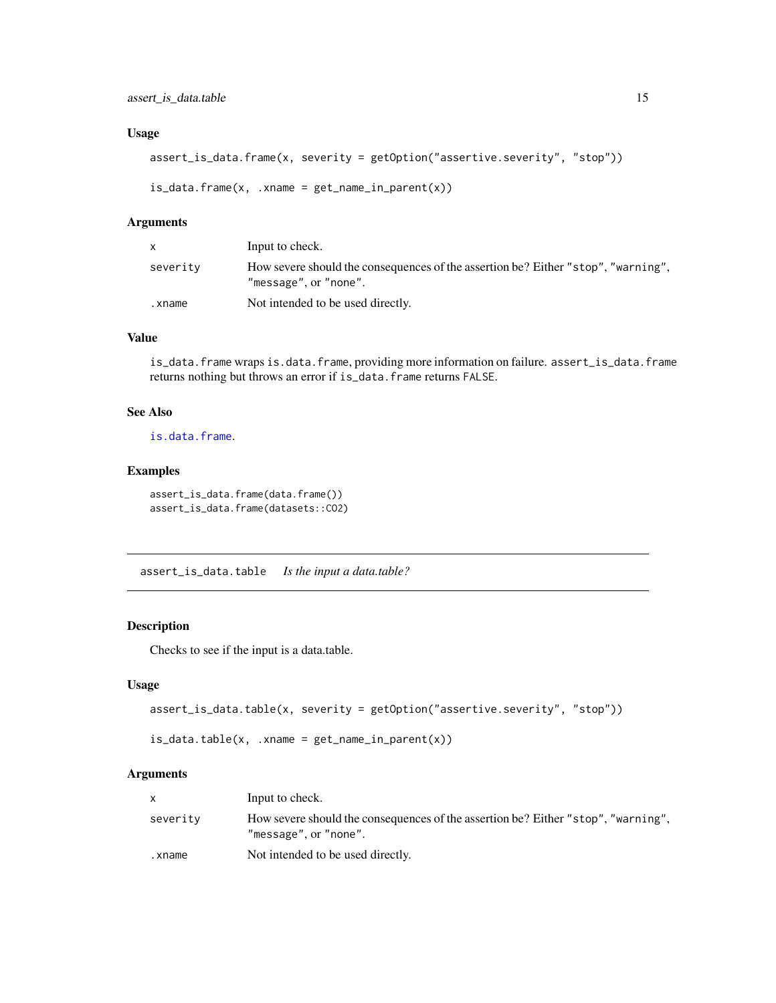#### <span id="page-14-0"></span>Usage

```
assert_is_data.frame(x, severity = getOption("assertive.severity", "stop"))
```

```
is_data.frame(x, .xname = get_name_in_parent(x))
```
## Arguments

| <b>X</b> | Input to check.                                                                                            |
|----------|------------------------------------------------------------------------------------------------------------|
| severity | How severe should the consequences of the assertion be? Either "stop", "warning",<br>"message", or "none". |
| .xname   | Not intended to be used directly.                                                                          |

### Value

is\_data.frame wraps is.data.frame, providing more information on failure. assert\_is\_data.frame returns nothing but throws an error if is\_data.frame returns FALSE.

## See Also

[is.data.frame](#page-0-0).

### Examples

```
assert_is_data.frame(data.frame())
assert_is_data.frame(datasets::CO2)
```
assert\_is\_data.table *Is the input a data.table?*

## Description

Checks to see if the input is a data.table.

#### Usage

```
assert_is_data.table(x, severity = getOption("assertive.severity", "stop"))
```

```
is_data.table(x, xname = get_name_in.parent(x))
```
## Arguments

|          | Input to check.                                                                                            |
|----------|------------------------------------------------------------------------------------------------------------|
| severity | How severe should the consequences of the assertion be? Either "stop", "warning",<br>"message", or "none". |
| .xname   | Not intended to be used directly.                                                                          |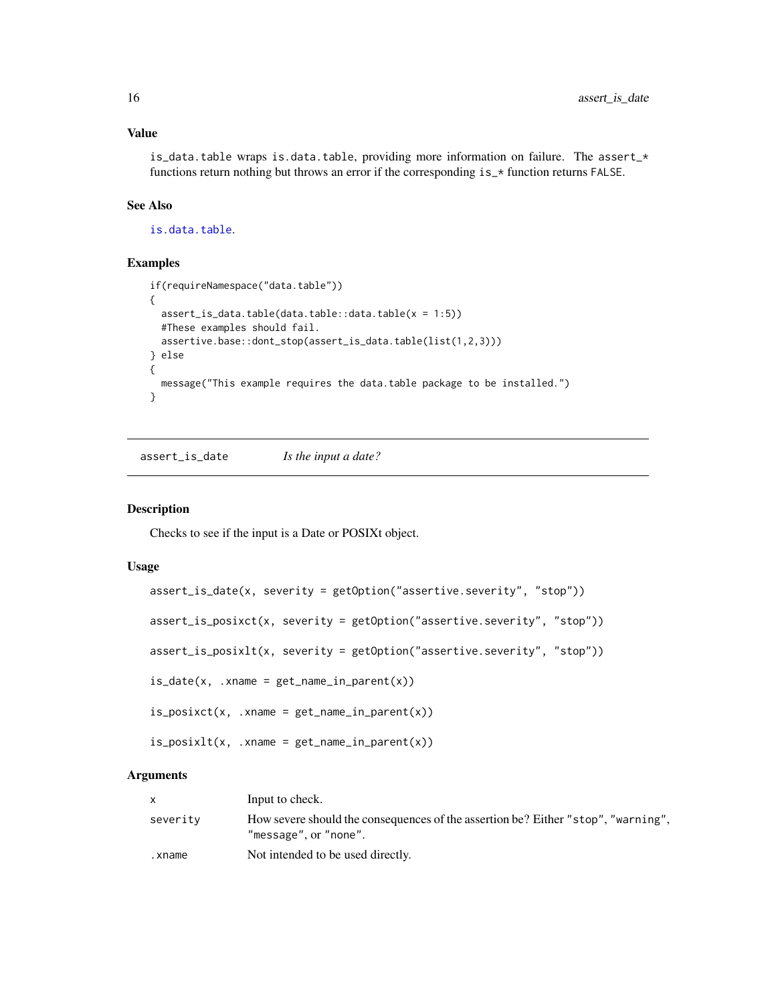## Value

is\_data.table wraps is.data.table, providing more information on failure. The assert\_\* functions return nothing but throws an error if the corresponding  $is_{\mathbf{r}}$  function returns FALSE.

## See Also

[is.data.table](#page-0-0).

#### Examples

```
if(requireNamespace("data.table"))
{
  assert_is_data.table(data.table::data.table(x = 1:5))
  #These examples should fail.
  assertive.base::dont_stop(assert_is_data.table(list(1,2,3)))
} else
{
  message("This example requires the data.table package to be installed.")
}
```
assert\_is\_date *Is the input a date?*

## Description

Checks to see if the input is a Date or POSIXt object.

## Usage

```
assert_is_date(x, severity = getOption("assertive.severity", "stop"))
assert_is_posixct(x, severity = getOption("assertive.severity", "stop"))
assert_is_posixlt(x, severity = getOption("assertive.severity", "stop"))
is_date(x, .xname = get_name_in_parent(x))
is_posixct(x, xname = get_name_in_parent(x))is_posixlt(x, xname = get_name_in_parent(x))
```
## **Arguments**

|          | Input to check.                                                                                            |
|----------|------------------------------------------------------------------------------------------------------------|
| severity | How severe should the consequences of the assertion be? Either "stop", "warning",<br>"message", or "none". |
| .xname   | Not intended to be used directly.                                                                          |

<span id="page-15-0"></span>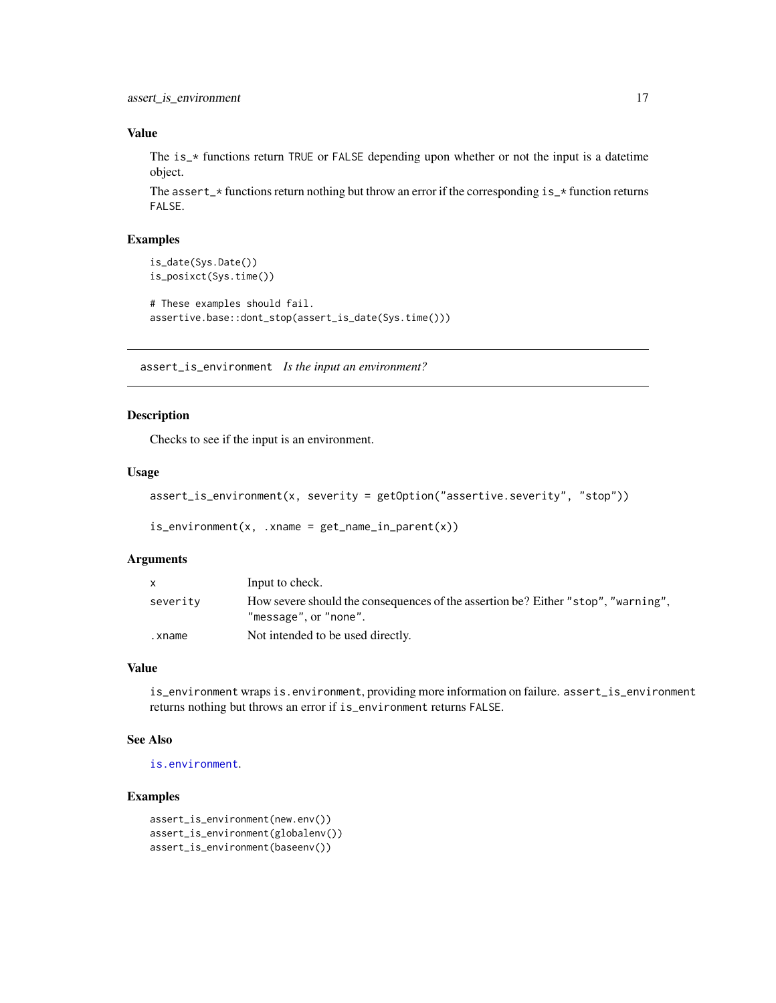## <span id="page-16-0"></span>Value

The is\_\* functions return TRUE or FALSE depending upon whether or not the input is a datetime object.

The assert<sub> $\rightarrow$ </sub> functions return nothing but throw an error if the corresponding is<sub> $\rightarrow$ </sub> function returns FALSE.

## Examples

```
is_date(Sys.Date())
is_posixct(Sys.time())
# These examples should fail.
assertive.base::dont_stop(assert_is_date(Sys.time()))
```
assert\_is\_environment *Is the input an environment?*

#### <span id="page-16-1"></span>Description

Checks to see if the input is an environment.

## Usage

```
assert_is_environment(x, severity = getOption("assertive.severity", "stop"))
```

```
is\_environment(x, xname = get\_name_in\_parent(x))
```
#### Arguments

|          | Input to check.                                                                                            |
|----------|------------------------------------------------------------------------------------------------------------|
| severity | How severe should the consequences of the assertion be? Either "stop", "warning",<br>"message", or "none". |
| .xname   | Not intended to be used directly.                                                                          |

## Value

is\_environment wraps is.environment, providing more information on failure. assert\_is\_environment returns nothing but throws an error if is\_environment returns FALSE.

## See Also

[is.environment](#page-0-0).

```
assert_is_environment(new.env())
assert_is_environment(globalenv())
assert_is_environment(baseenv())
```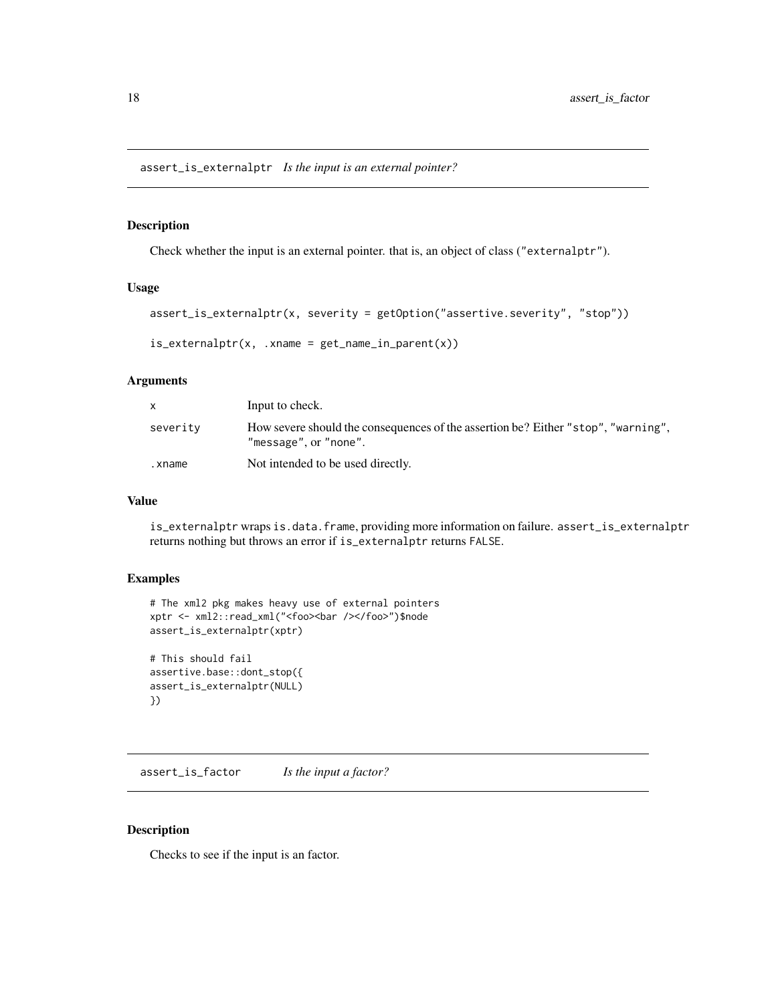<span id="page-17-0"></span>assert\_is\_externalptr *Is the input is an external pointer?*

#### Description

Check whether the input is an external pointer. that is, an object of class ("externalptr").

#### Usage

```
assert_is_externalptr(x, severity = getOption("assertive.severity", "stop"))
```

```
is\_externalptr(x, .xname = get\_name_in\_parent(x))
```
#### Arguments

| X.       | Input to check.                                                                                            |
|----------|------------------------------------------------------------------------------------------------------------|
| severity | How severe should the consequences of the assertion be? Either "stop", "warning",<br>"message", or "none". |
| .xname   | Not intended to be used directly.                                                                          |

#### Value

is\_externalptr wraps is.data.frame, providing more information on failure. assert\_is\_externalptr returns nothing but throws an error if is\_externalptr returns FALSE.

## Examples

```
# The xml2 pkg makes heavy use of external pointers
xptr <- xml2::read_xml("<foo><bar /></foo>")$node
assert_is_externalptr(xptr)
# This should fail
assertive.base::dont_stop({
assert_is_externalptr(NULL)
})
```
assert\_is\_factor *Is the input a factor?*

## Description

Checks to see if the input is an factor.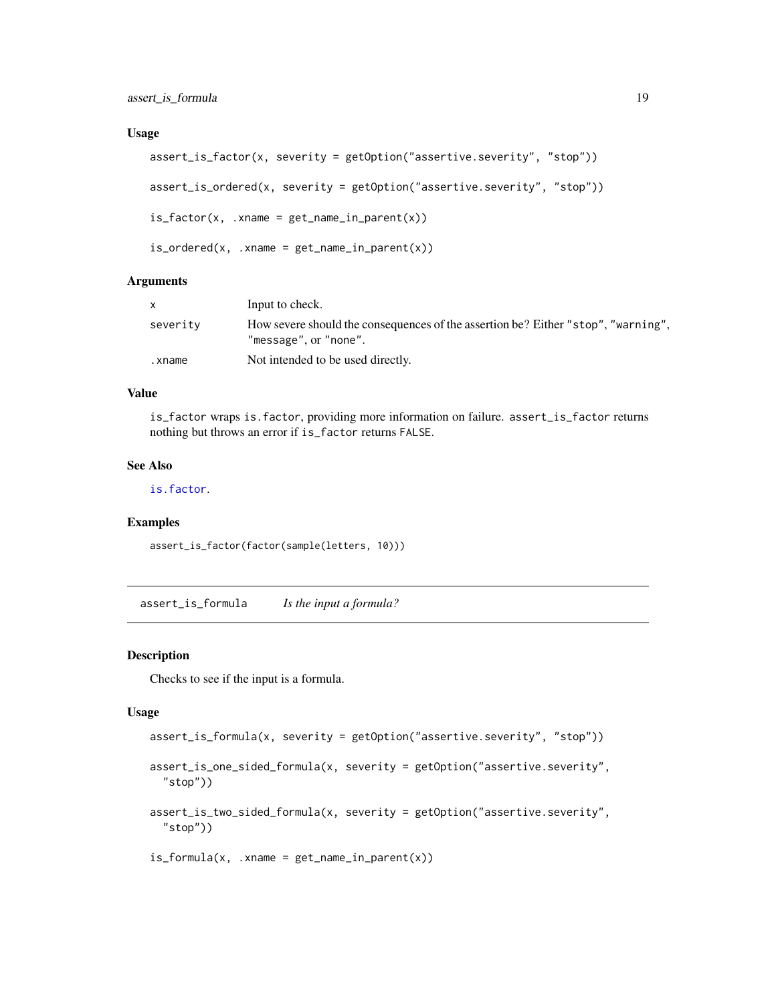#### <span id="page-18-0"></span>Usage

```
assert_is_factor(x, severity = getOption("assertive.severity", "stop"))
assert_is_ordered(x, severity = getOption("assertive.severity", "stop"))
is_factor(x, xname = get_name_in_parent(x))is_{\text{ordered}(x, x)} .xname = get_name_in_parent(x))
```
#### **Arguments**

|          | Input to check.                                                                                            |
|----------|------------------------------------------------------------------------------------------------------------|
| severity | How severe should the consequences of the assertion be? Either "stop", "warning",<br>"message", or "none". |
| .xname   | Not intended to be used directly.                                                                          |

## Value

is\_factor wraps is.factor, providing more information on failure. assert\_is\_factor returns nothing but throws an error if is\_factor returns FALSE.

#### See Also

[is.factor](#page-0-0).

## Examples

assert\_is\_factor(factor(sample(letters, 10)))

assert\_is\_formula *Is the input a formula?*

#### Description

Checks to see if the input is a formula.

#### Usage

```
assert_is_formula(x, severity = getOption("assertive.severity", "stop"))
```
assert\_is\_one\_sided\_formula(x, severity = getOption("assertive.severity", "stop"))

assert\_is\_two\_sided\_formula(x, severity = getOption("assertive.severity", "stop"))

```
is_formula(x, xname = get_name_in_parent(x))
```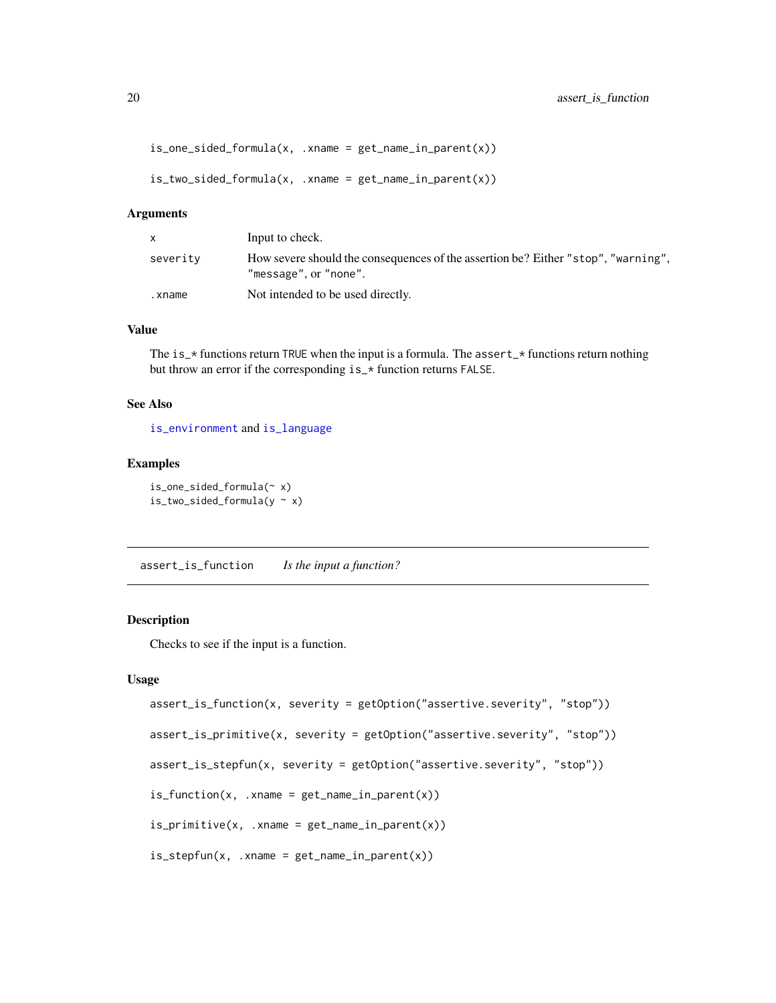```
is_one_sided_formula(x, .xname = get_name_in_parent(x))
```

```
is_two_sided_formula(x, xname = get_name_in_parent(x))
```

| $\mathsf{x}$ | Input to check.                                                                                            |
|--------------|------------------------------------------------------------------------------------------------------------|
| severity     | How severe should the consequences of the assertion be? Either "stop", "warning",<br>"message", or "none". |
| .xname       | Not intended to be used directly.                                                                          |

## Value

The is\_ $\star$  functions return TRUE when the input is a formula. The assert\_ $\star$  functions return nothing but throw an error if the corresponding is\_\* function returns FALSE.

#### See Also

[is\\_environment](#page-16-1) and [is\\_language](#page-11-1)

#### Examples

is\_one\_sided\_formula(~ x)  $is\_two\_sided\_formula(y \sim x)$ 

assert\_is\_function *Is the input a function?*

## <span id="page-19-1"></span>Description

Checks to see if the input is a function.

#### Usage

```
assert_is_function(x, severity = getOption("assertive.severity", "stop"))
```
assert\_is\_primitive(x, severity = getOption("assertive.severity", "stop"))

assert\_is\_stepfun(x, severity = getOption("assertive.severity", "stop"))

```
is_function(x, xname = get_name_in.parent(x))
```
is\_primitive(x, .xname = get\_name\_in\_parent(x))

```
is_stepfun(x, .xname = get_name_in_parent(x))
```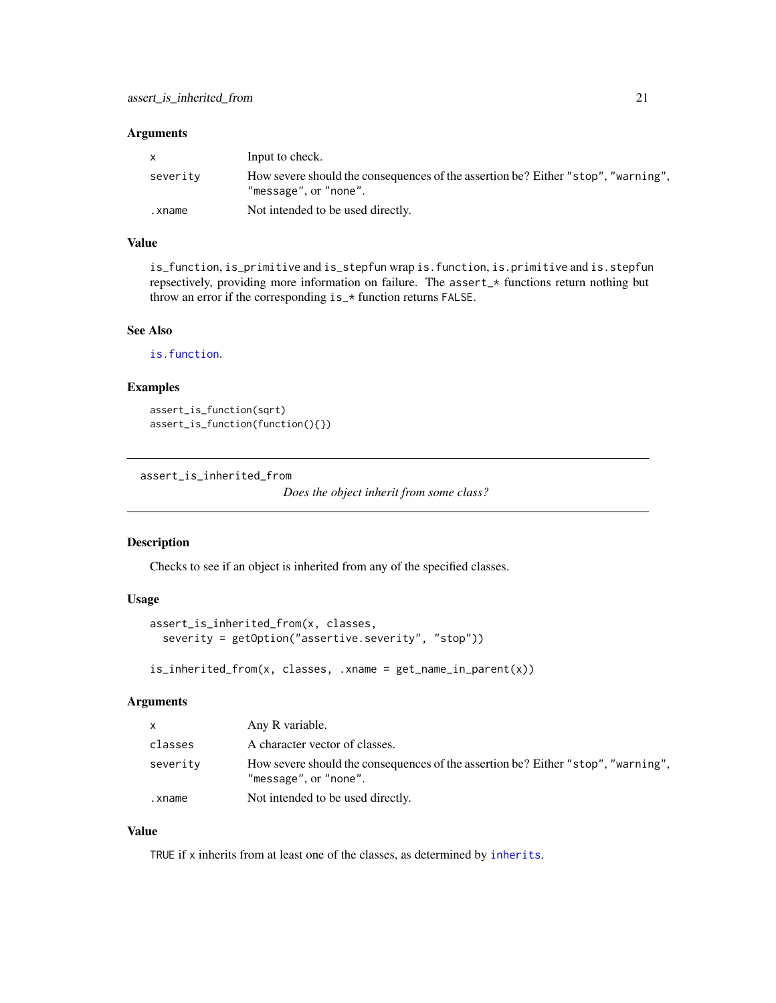<span id="page-20-0"></span>

| $\mathsf{X}$ | Input to check.                                                                                            |
|--------------|------------------------------------------------------------------------------------------------------------|
| severity     | How severe should the consequences of the assertion be? Either "stop", "warning",<br>"message", or "none". |
| .xname       | Not intended to be used directly.                                                                          |

## Value

is\_function, is\_primitive and is\_stepfun wrap is.function, is.primitive and is.stepfun repsectively, providing more information on failure. The assert\_\* functions return nothing but throw an error if the corresponding is\_\* function returns FALSE.

## See Also

[is.function](#page-0-0).

## Examples

```
assert_is_function(sqrt)
assert_is_function(function(){})
```
assert\_is\_inherited\_from

```
Does the object inherit from some class?
```
## Description

Checks to see if an object is inherited from any of the specified classes.

## Usage

```
assert_is_inherited_from(x, classes,
  severity = getOption("assertive.severity", "stop"))
```
is\_inherited\_from(x, classes, .xname = get\_name\_in\_parent(x))

#### Arguments

| $\mathsf{x}$ | Any R variable.                                                                                            |
|--------------|------------------------------------------------------------------------------------------------------------|
| classes      | A character vector of classes.                                                                             |
| severity     | How severe should the consequences of the assertion be? Either "stop", "warning",<br>"message", or "none". |
| .xname       | Not intended to be used directly.                                                                          |

## Value

TRUE if x inherits from at least one of the classes, as determined by [inherits](#page-0-0).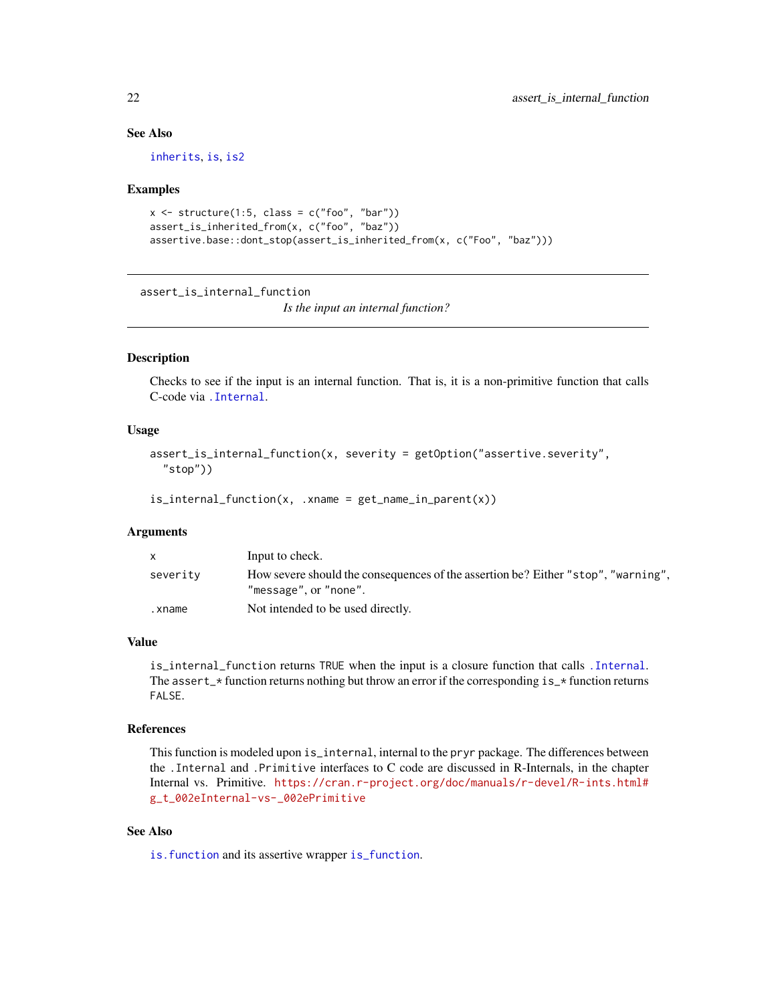## See Also

[inherits](#page-0-0), [is](#page-0-0), [is2](#page-0-0)

#### Examples

```
x \le structure(1:5, class = c("foo", "bar"))
assert_is_inherited_from(x, c("foo", "baz"))
assertive.base::dont_stop(assert_is_inherited_from(x, c("Foo", "baz")))
```
assert\_is\_internal\_function

*Is the input an internal function?*

#### <span id="page-21-1"></span>Description

Checks to see if the input is an internal function. That is, it is a non-primitive function that calls C-code via [.Internal](#page-0-0).

#### Usage

```
assert_is_internal_function(x, severity = getOption("assertive.severity",
  "stop"))
```
is\_internal\_function(x, .xname = get\_name\_in\_parent(x))

#### Arguments

| X.       | Input to check.                                                                                            |
|----------|------------------------------------------------------------------------------------------------------------|
| severity | How severe should the consequences of the assertion be? Either "stop", "warning",<br>"message", or "none". |
| .xname   | Not intended to be used directly.                                                                          |

#### Value

is\_internal\_function returns TRUE when the input is a closure function that calls [.Internal](#page-0-0). The assert\_ $\star$  function returns nothing but throw an error if the corresponding is\_ $\star$  function returns FALSE.

#### References

This function is modeled upon is\_internal, internal to the pryr package. The differences between the .Internal and .Primitive interfaces to C code are discussed in R-Internals, in the chapter Internal vs. Primitive. [https://cran.r-project.org/doc/manuals/r-devel/R-ints.html#](https://cran.r-project.org/doc/manuals/r-devel/R-ints.html#g_t_002eInternal-vs-_002ePrimitive) [g\\_t\\_002eInternal-vs-\\_002ePrimitive](https://cran.r-project.org/doc/manuals/r-devel/R-ints.html#g_t_002eInternal-vs-_002ePrimitive)

## See Also

[is.function](#page-0-0) and its assertive wrapper [is\\_function](#page-19-1).

<span id="page-21-0"></span>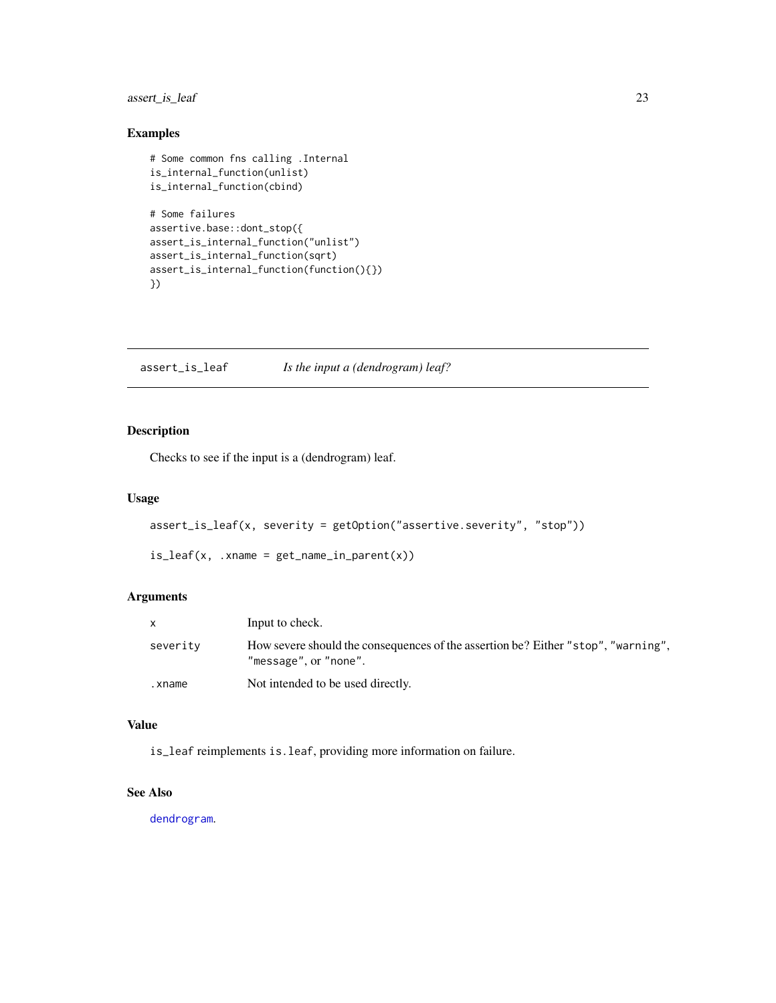## <span id="page-22-0"></span>assert\_is\_leaf 23

## Examples

```
# Some common fns calling .Internal
is_internal_function(unlist)
is_internal_function(cbind)
# Some failures
assertive.base::dont_stop({
assert_is_internal_function("unlist")
assert_is_internal_function(sqrt)
assert_is_internal_function(function(){})
})
```
assert\_is\_leaf *Is the input a (dendrogram) leaf?*

## Description

Checks to see if the input is a (dendrogram) leaf.

#### Usage

```
assert_is_leaf(x, severity = getOption("assertive.severity", "stop"))
```

```
is\_leaf(x, .xname = get\_name_in\_parent(x))
```
## Arguments

|          | Input to check.                                                                                            |
|----------|------------------------------------------------------------------------------------------------------------|
| severity | How severe should the consequences of the assertion be? Either "stop", "warning",<br>"message", or "none". |
| .xname   | Not intended to be used directly.                                                                          |

## Value

is\_leaf reimplements is.leaf, providing more information on failure.

## See Also

[dendrogram](#page-0-0).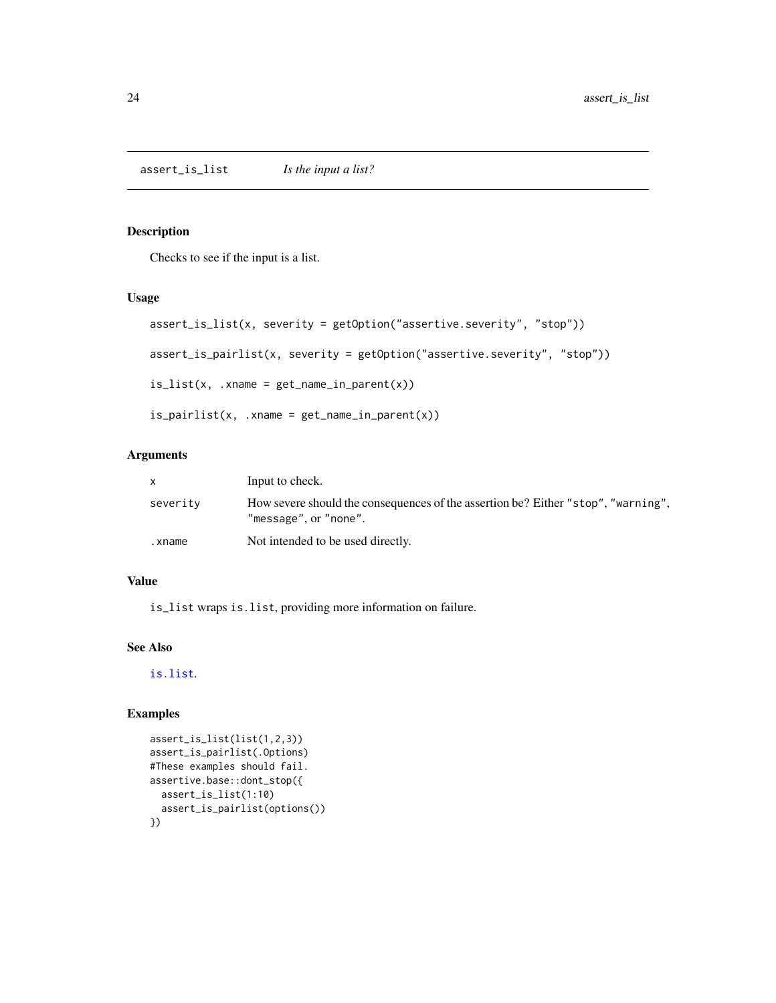<span id="page-23-0"></span>Checks to see if the input is a list.

#### Usage

```
assert_is_list(x, severity = getOption("assertive.severity", "stop"))
assert_is_pairlist(x, severity = getOption("assertive.severity", "stop"))
is_list(x, .xname = get_name_in_parent(x))
is\_paintlist(x, .xname = get\_name_in\_parent(x))
```
#### Arguments

|          | Input to check.                                                                                            |
|----------|------------------------------------------------------------------------------------------------------------|
| severity | How severe should the consequences of the assertion be? Either "stop", "warning",<br>"message", or "none". |
| .xname   | Not intended to be used directly.                                                                          |

### Value

is\_list wraps is.list, providing more information on failure.

## See Also

[is.list](#page-0-0).

```
assert_is_list(list(1,2,3))
assert_is_pairlist(.Options)
#These examples should fail.
assertive.base::dont_stop({
  assert_is_list(1:10)
  assert_is_pairlist(options())
})
```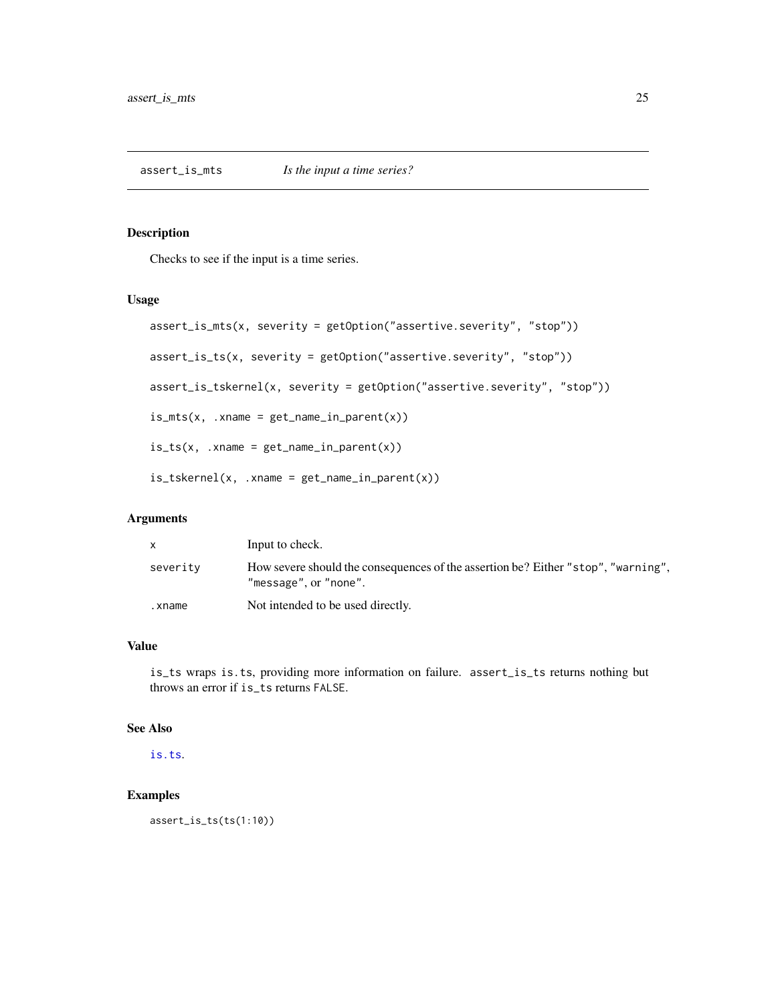<span id="page-24-0"></span>Checks to see if the input is a time series.

## Usage

```
assert_is_mts(x, severity = getOption("assertive.severity", "stop"))
assert_is_ts(x, severity = getOption("assertive.severity", "stop"))
assert_is_tskernel(x, severity = getOption("assertive.severity", "stop"))
is_mts(x, xname = get_name_in_parent(x))is_t(x, x) .xname = get_name_in_parent(x))
is_tskernel(x, xname = get_name_in_parent(x))
```
## Arguments

|          | Input to check.                                                                                            |
|----------|------------------------------------------------------------------------------------------------------------|
| severity | How severe should the consequences of the assertion be? Either "stop", "warning",<br>"message", or "none". |
| .xname   | Not intended to be used directly.                                                                          |

## Value

is\_ts wraps is.ts, providing more information on failure. assert\_is\_ts returns nothing but throws an error if is\_ts returns FALSE.

## See Also

[is.ts](#page-0-0).

## Examples

assert\_is\_ts(ts(1:10))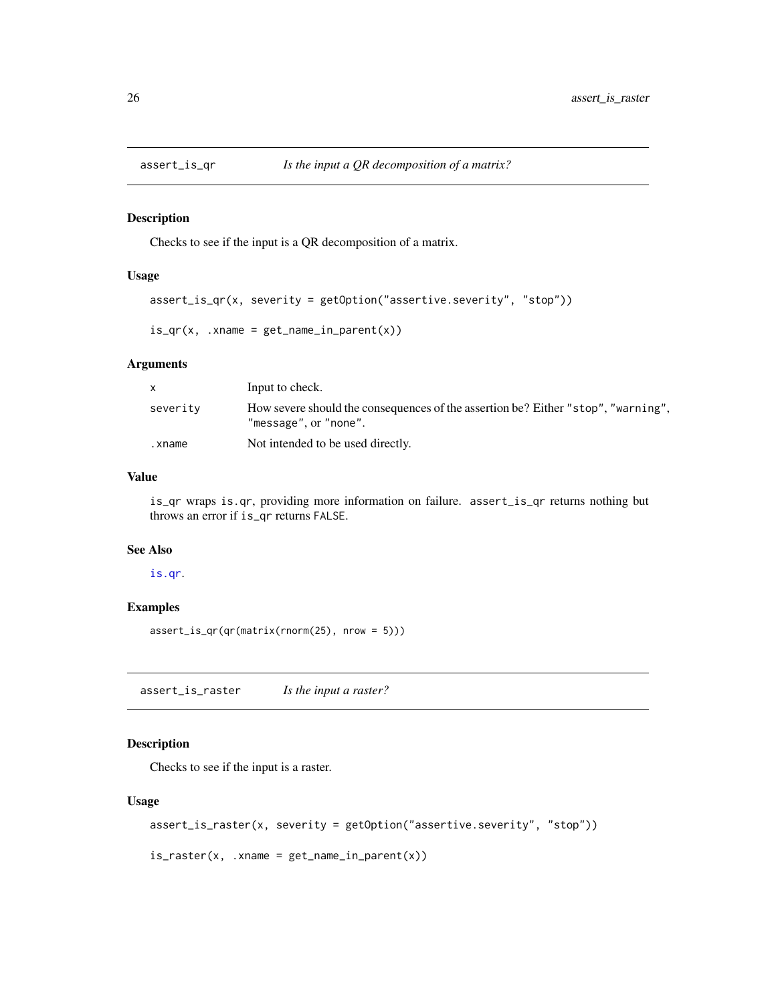<span id="page-25-0"></span>

Checks to see if the input is a QR decomposition of a matrix.

#### Usage

```
assert_is_qr(x, severity = getOption("assertive.severity", "stop"))
```
 $is_qr(x, x)$ name = get\_name\_in\_parent(x))

## Arguments

|          | Input to check.                                                                                            |
|----------|------------------------------------------------------------------------------------------------------------|
| severity | How severe should the consequences of the assertion be? Either "stop", "warning",<br>"message", or "none". |
| .xname   | Not intended to be used directly.                                                                          |

#### Value

is\_qr wraps is.qr, providing more information on failure. assert\_is\_qr returns nothing but throws an error if is\_qr returns FALSE.

### See Also

#### [is.qr](#page-0-0).

#### Examples

assert\_is\_qr(qr(matrix(rnorm(25), nrow = 5)))

assert\_is\_raster *Is the input a raster?*

## Description

Checks to see if the input is a raster.

```
assert_is_raster(x, severity = getOption("assertive.severity", "stop"))
```

```
is\_raster(x, .xname = get\_name_in\_parent(x))
```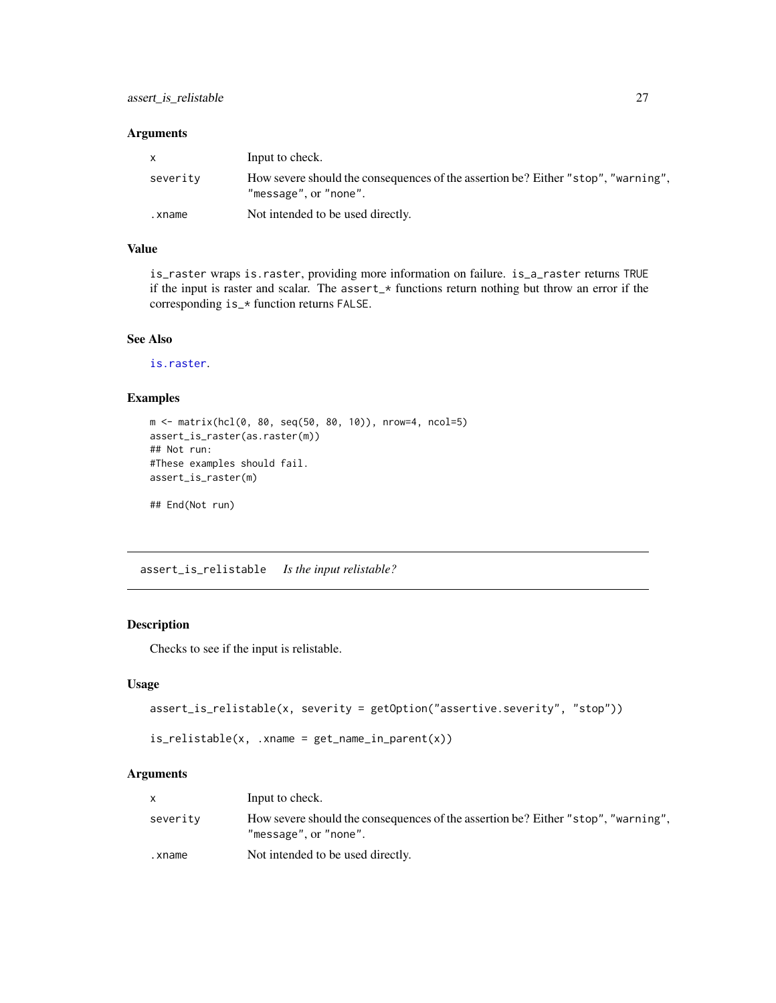<span id="page-26-0"></span>

| $\mathsf{x}$ | Input to check.                                                                                            |
|--------------|------------------------------------------------------------------------------------------------------------|
| severity     | How severe should the consequences of the assertion be? Either "stop", "warning",<br>"message", or "none". |
| .xname       | Not intended to be used directly.                                                                          |

## Value

is\_raster wraps is.raster, providing more information on failure. is\_a\_raster returns TRUE if the input is raster and scalar. The assert\_\* functions return nothing but throw an error if the corresponding is\_\* function returns FALSE.

## See Also

[is.raster](#page-0-0).

## Examples

```
m <- matrix(hcl(0, 80, seq(50, 80, 10)), nrow=4, ncol=5)
assert_is_raster(as.raster(m))
## Not run:
#These examples should fail.
assert_is_raster(m)
```
## End(Not run)

assert\_is\_relistable *Is the input relistable?*

#### Description

Checks to see if the input is relistable.

#### Usage

```
assert_is_relistable(x, severity = getOption("assertive.severity", "stop"))
```

```
is_{relistable}(x, xname = get_{name_in\_parent}(x))
```
## Arguments

|          | Input to check.                                                                                            |
|----------|------------------------------------------------------------------------------------------------------------|
| severity | How severe should the consequences of the assertion be? Either "stop", "warning",<br>"message", or "none". |
| .xname   | Not intended to be used directly.                                                                          |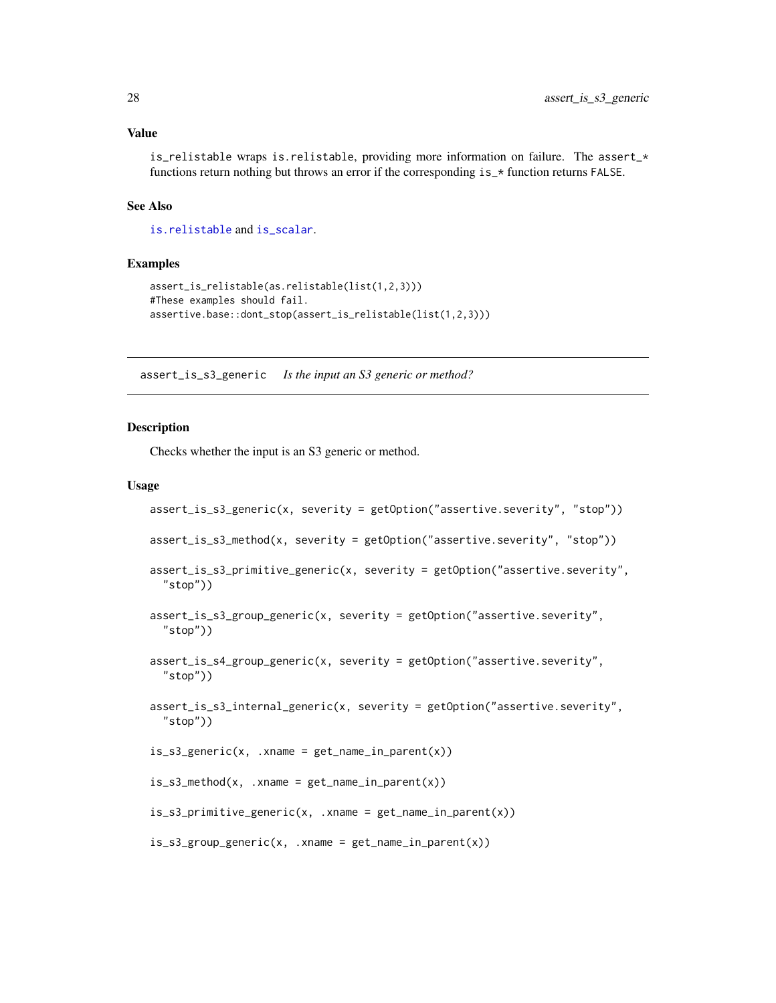<span id="page-27-0"></span>is\_relistable wraps is.relistable, providing more information on failure. The assert\_\* functions return nothing but throws an error if the corresponding  $is_{\mathbf{r}}$  function returns FALSE.

## See Also

[is.relistable](#page-0-0) and [is\\_scalar](#page-0-0).

#### Examples

```
assert_is_relistable(as.relistable(list(1,2,3)))
#These examples should fail.
assertive.base::dont_stop(assert_is_relistable(list(1,2,3)))
```
assert\_is\_s3\_generic *Is the input an S3 generic or method?*

#### <span id="page-27-1"></span>Description

Checks whether the input is an S3 generic or method.

```
assert_is_s3_generic(x, severity = getOption("assertive.severity", "stop"))
assert_is_s3_method(x, severity = getOption("assertive.severity", "stop"))
assert_is_s3_primitive_generic(x, severity = getOption("assertive.severity",
  "stop"))
assert_is_s3_group_generic(x, severity = getOption("assertive.severity",
  "stop"))
assert_is_s4_group_generic(x, severity = getOption("assertive.severity",
  "stop"))
assert_is_s3_internal_generic(x, severity = getOption("assertive.severity",
  "stop"))
is_s3_generic(x, .xname = get_name_in_parent(x))
is<sub>g</sub>s3_method(x, .xname = get_name_in_parent(x))
is_s3_primitive_generic(x, .xname = get_name_in_parent(x))
is_s3_group_generic(x, .xname = get_name_in_parent(x))
```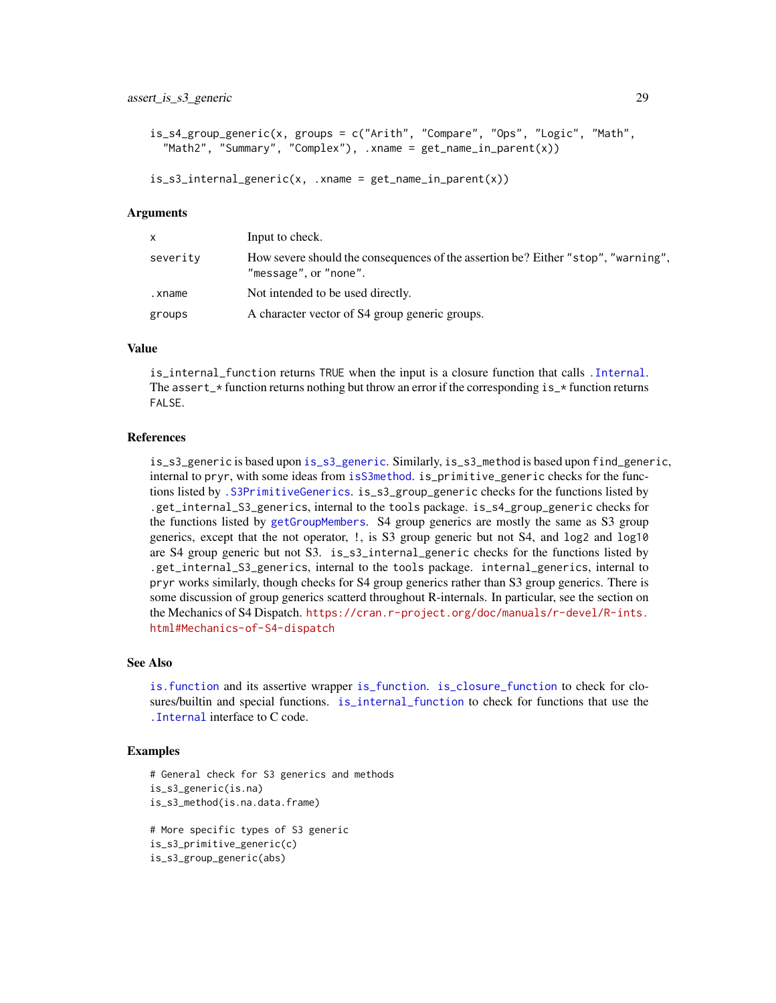```
is_s4_group_generic(x, groups = c("Arith", "Compare", "Ops", "Logic", "Math",
 "Math2", "Summary", "Complex"), .xname = get_name_in\_parent(x))
```

```
is<sub>s3</sub>_internal_generic(x, .xname = get_name_in_parent(x))
```

| $\mathsf{x}$ | Input to check.                                                                                            |
|--------------|------------------------------------------------------------------------------------------------------------|
| severity     | How severe should the consequences of the assertion be? Either "stop", "warning",<br>"message", or "none". |
| .xname       | Not intended to be used directly.                                                                          |
| groups       | A character vector of S4 group generic groups.                                                             |

## Value

is\_internal\_function returns TRUE when the input is a closure function that calls [.Internal](#page-0-0). The assert\_ $*$  function returns nothing but throw an error if the corresponding  $is$ \_ $*$  function returns FALSE.

#### References

is\_s3\_generic is based upon [is\\_s3\\_generic](#page-27-1). Similarly, is\_s3\_method is based upon find\_generic, internal to pryr, with some ideas from [isS3method](#page-0-0). is\_primitive\_generic checks for the functions listed by [.S3PrimitiveGenerics](#page-0-0). is\_s3\_group\_generic checks for the functions listed by .get\_internal\_S3\_generics, internal to the tools package. is\_s4\_group\_generic checks for the functions listed by [getGroupMembers](#page-0-0). S4 group generics are mostly the same as S3 group generics, except that the not operator, !, is S3 group generic but not S4, and log2 and log10 are S4 group generic but not S3. is\_s3\_internal\_generic checks for the functions listed by .get\_internal\_S3\_generics, internal to the tools package. internal\_generics, internal to pryr works similarly, though checks for S4 group generics rather than S3 group generics. There is some discussion of group generics scatterd throughout R-internals. In particular, see the section on the Mechanics of S4 Dispatch. [https://cran.r-project.org/doc/manuals/r-devel/R-ints.](https://cran.r-project.org/doc/manuals/r-devel/R-ints.html#Mechanics-of-S4-dispatch) [html#Mechanics-of-S4-dispatch](https://cran.r-project.org/doc/manuals/r-devel/R-ints.html#Mechanics-of-S4-dispatch)

## See Also

[is.function](#page-0-0) and its assertive wrapper [is\\_function](#page-19-1). [is\\_closure\\_function](#page-12-1) to check for closures/builtin and special functions. [is\\_internal\\_function](#page-21-1) to check for functions that use the [.Internal](#page-0-0) interface to C code.

```
# General check for S3 generics and methods
is_s3_generic(is.na)
is_s3_method(is.na.data.frame)
# More specific types of S3 generic
is_s3_primitive_generic(c)
is_s3_group_generic(abs)
```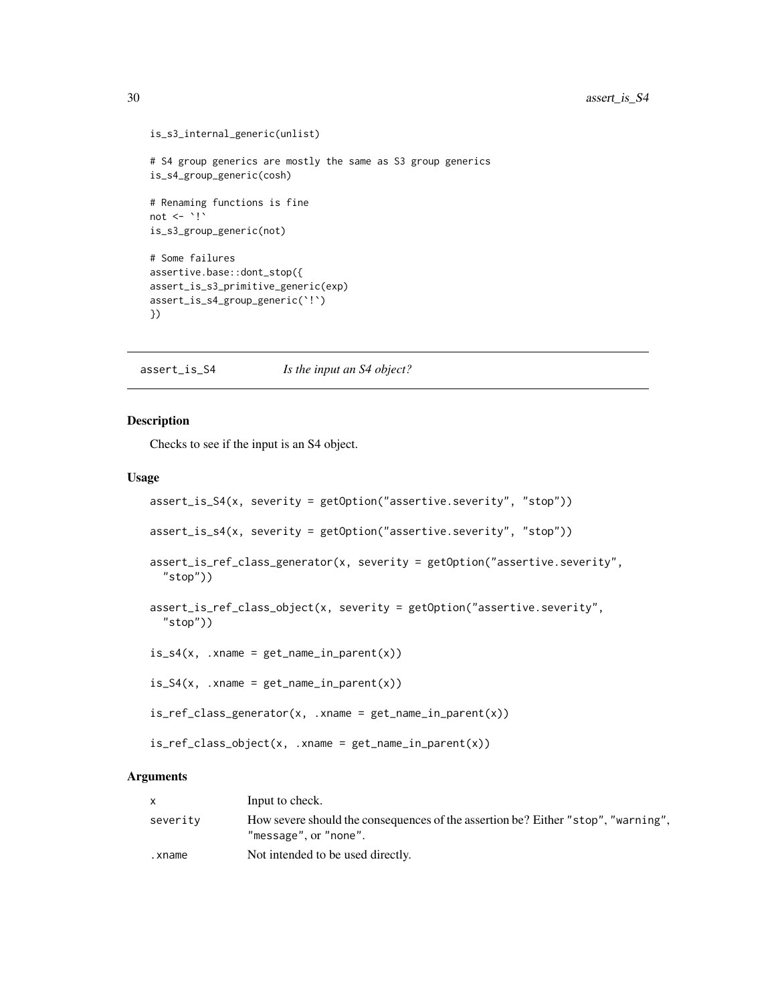```
is_s3_internal_generic(unlist)
# S4 group generics are mostly the same as S3 group generics
is_s4_group_generic(cosh)
# Renaming functions is fine
not \leq - \cdot!\cdotis_s3_group_generic(not)
# Some failures
assertive.base::dont_stop({
assert_is_s3_primitive_generic(exp)
assert_is_s4_group_generic(`!`)
})
```
assert\_is\_S4 *Is the input an S4 object?*

#### Description

Checks to see if the input is an S4 object.

#### Usage

```
assert_is_S4(x, severity = getOption("assertive.severity", "stop"))
assert_is_s4(x, severity = getOption("assertive.severity", "stop"))
assert_is_ref_class_generator(x, severity = getOption("assertive.severity",
  "stop"))
assert_is_ref_class_object(x, severity = getOption("assertive.severity",
  "stop"))
is_s4(x, .x)name = get_name_in_parent(x))
is_S4(x, .xname = get_name_in.parent(x))is_ref_class_generator(x, xname = get_name_in_parent(x))is_ref_class_object(x, .xname = get_name_in_parent(x))
```
#### Arguments

|          | Input to check.                                                                                            |
|----------|------------------------------------------------------------------------------------------------------------|
| severity | How severe should the consequences of the assertion be? Either "stop", "warning",<br>"message", or "none". |
| .xname   | Not intended to be used directly.                                                                          |

<span id="page-29-0"></span>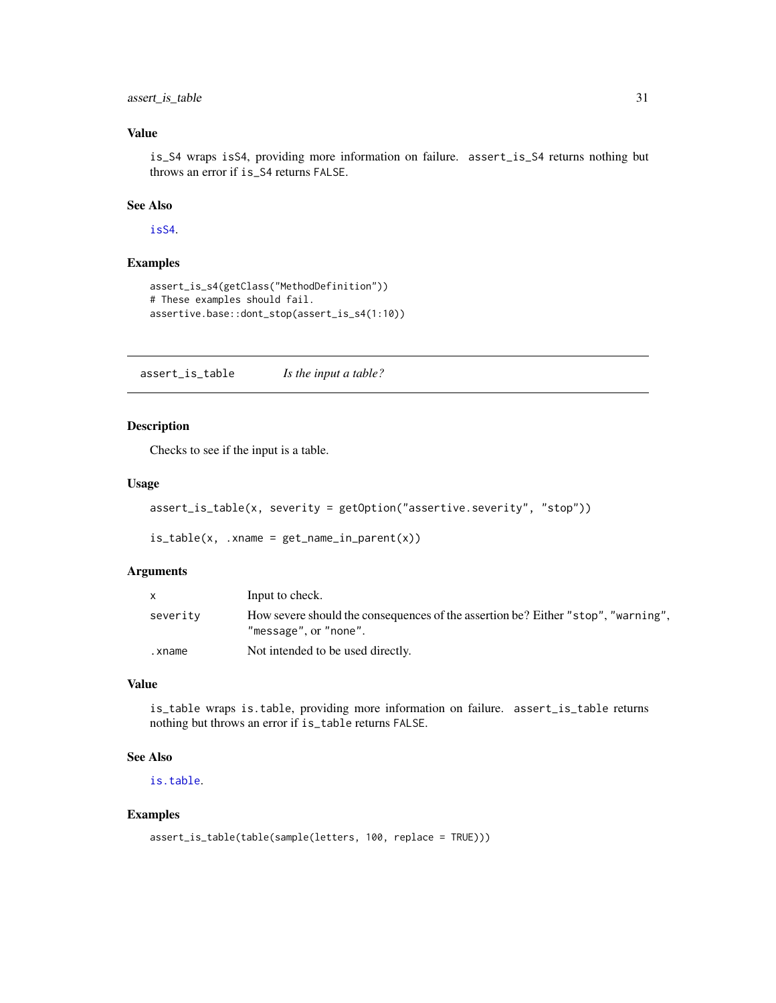## <span id="page-30-0"></span>assert\_is\_table 31

## Value

is\_S4 wraps isS4, providing more information on failure. assert\_is\_S4 returns nothing but throws an error if is\_S4 returns FALSE.

## See Also

[isS4](#page-0-0).

## Examples

```
assert_is_s4(getClass("MethodDefinition"))
# These examples should fail.
assertive.base::dont_stop(assert_is_s4(1:10))
```
assert\_is\_table *Is the input a table?*

## Description

Checks to see if the input is a table.

#### Usage

```
assert_is_table(x, severity = getOption("assertive.severity", "stop"))
```
 $is_table(x, xname = get_name_in.parent(x))$ 

## Arguments

|          | Input to check.                                                                                            |
|----------|------------------------------------------------------------------------------------------------------------|
| severity | How severe should the consequences of the assertion be? Either "stop", "warning",<br>"message", or "none". |
| .xname   | Not intended to be used directly.                                                                          |

#### Value

is\_table wraps is.table, providing more information on failure. assert\_is\_table returns nothing but throws an error if is\_table returns FALSE.

## See Also

[is.table](#page-0-0).

```
assert_is_table(table(sample(letters, 100, replace = TRUE)))
```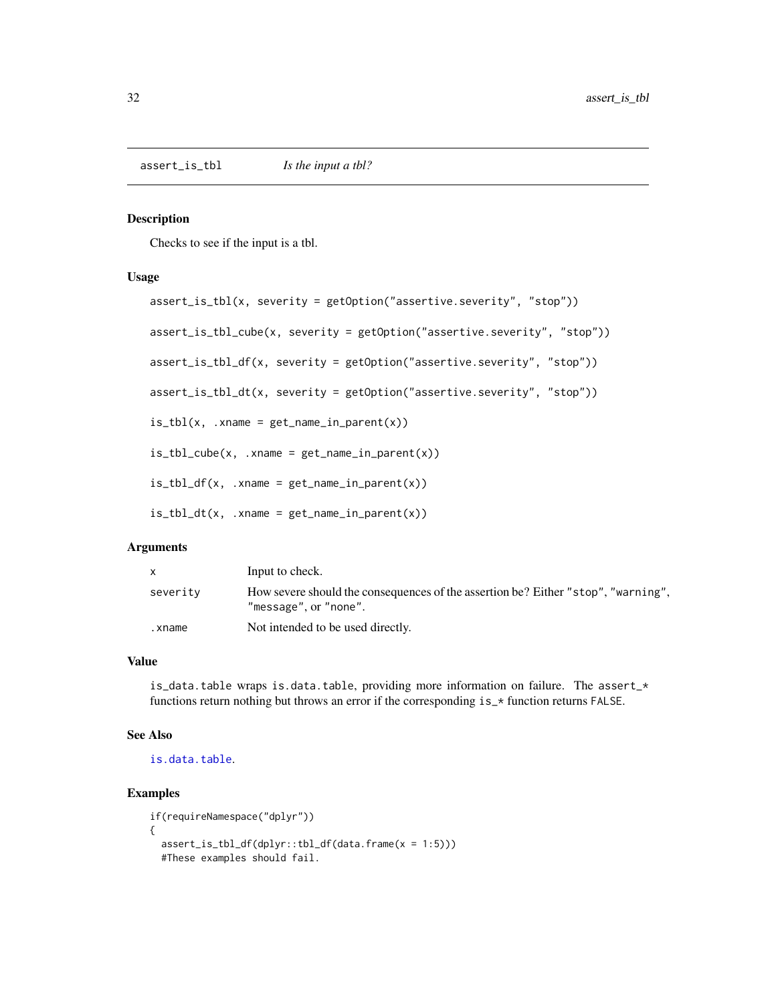<span id="page-31-0"></span>assert\_is\_tbl *Is the input a tbl?*

#### Description

Checks to see if the input is a tbl.

#### Usage

```
assert_is_tbl(x, severity = getOption("assertive.severity", "stop"))
assert_is_tbl_cube(x, severity = getOption("assertive.severity", "stop"))
assert_is_tbl_df(x, severity = getOption("assertive.severity", "stop"))
assert_is_tbl_dt(x, severity = getOption("assertive.severity", "stop"))
is_tbl(x, xname = get_name_in.parent(x))is_tbl_cube(x, xname = get_name_in_parent(x))is_tbl_df(x, xname = get_name_in_parent(x))is_tbl_dt(x, xname = get_name_in_parent(x))
```
#### Arguments

|          | Input to check.                                                                                            |
|----------|------------------------------------------------------------------------------------------------------------|
| severity | How severe should the consequences of the assertion be? Either "stop", "warning",<br>"message", or "none". |
| .xname   | Not intended to be used directly.                                                                          |

#### Value

is\_data.table wraps is.data.table, providing more information on failure. The assert\_\* functions return nothing but throws an error if the corresponding is\_\* function returns FALSE.

#### See Also

[is.data.table](#page-0-0).

```
if(requireNamespace("dplyr"))
{
 assert_is\_tbl_df(dplyr::tbl_df(data,frame(x = 1:5)))#These examples should fail.
```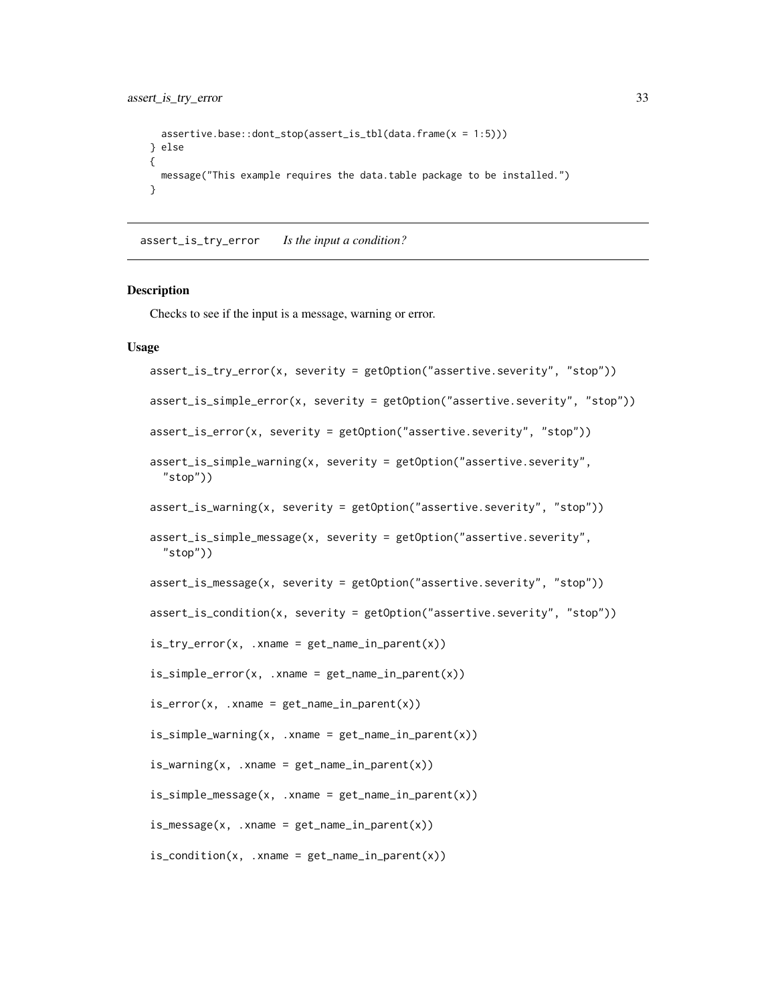```
assertive.base::dont_stop(assert_is_tbl(data.frame(x = 1:5)))
} else
{
  message("This example requires the data.table package to be installed.")
}
```

```
assert_is_try_error Is the input a condition?
```
Checks to see if the input is a message, warning or error.

```
assert_is_try_error(x, severity = getOption("assertive.severity", "stop"))
assert_is_simple_error(x, severity = getOption("assertive.severity", "stop"))
assert_is_error(x, severity = getOption("assertive.severity", "stop"))
assert\_is\_simple\_warming(x, severity = getOption("assertive.severity","stop"))
assert_is_warning(x, severity = getOption("assertive.severity", "stop"))
assert_is_simple_message(x, severity = getOption("assertive.severity",
  "stop"))
assert_is_message(x, severity = getOption("assertive.severity", "stop"))
assert_is_condition(x, severity = getOption("assertive.severity", "stop"))
is_{try\_error}(x, xname = get\_name_in\_parent(x))is_simple_error(x, .xname = get_name_in_parent(x))
is_error(x, xname = get_name_in.parent(x))is\_simple\_warming(x, xname = get\_name_in\_parent(x))is\_warming(x, .xname = get\_name_in\_parent(x))is\_simple\_message(x, .xname = get\_name_in\_parent(x))is_m\n  <i>message</i>(x, .<i>EXAMPLE</i> <math>get_name_in_parent(x))</math>is\_condition(x, .xname = get_name_in\_parent(x))
```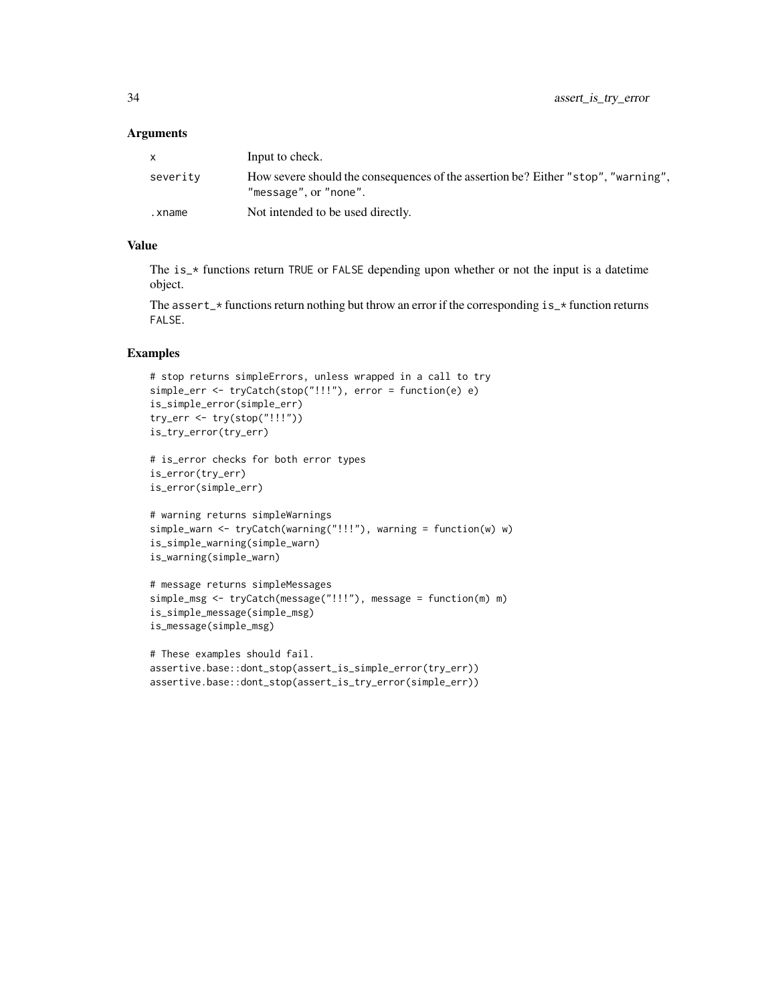| X        | Input to check.                                                                                            |
|----------|------------------------------------------------------------------------------------------------------------|
| severity | How severe should the consequences of the assertion be? Either "stop", "warning",<br>"message", or "none". |
| .xname   | Not intended to be used directly.                                                                          |

## Value

The is\_\* functions return TRUE or FALSE depending upon whether or not the input is a datetime object.

The assert<sub> $\rightarrow$ </sub> functions return nothing but throw an error if the corresponding is<sub> $\rightarrow$ </sub> function returns FALSE.

```
# stop returns simpleErrors, unless wrapped in a call to try
simple_err <- tryCatch(stop("!!!"), error = function(e) e)
is_simple_error(simple_err)
try_err <- try(stop("!!!"))
is_try_error(try_err)
# is_error checks for both error types
is_error(try_err)
is_error(simple_err)
# warning returns simpleWarnings
simple_warn <- tryCatch(warning("!!!"), warning = function(w) w)
is_simple_warning(simple_warn)
is_warning(simple_warn)
```

```
# message returns simpleMessages
simple_msg <- tryCatch(message("!!!"), message = function(m) m)
is_simple_message(simple_msg)
is_message(simple_msg)
```

```
# These examples should fail.
assertive.base::dont_stop(assert_is_simple_error(try_err))
assertive.base::dont_stop(assert_is_try_error(simple_err))
```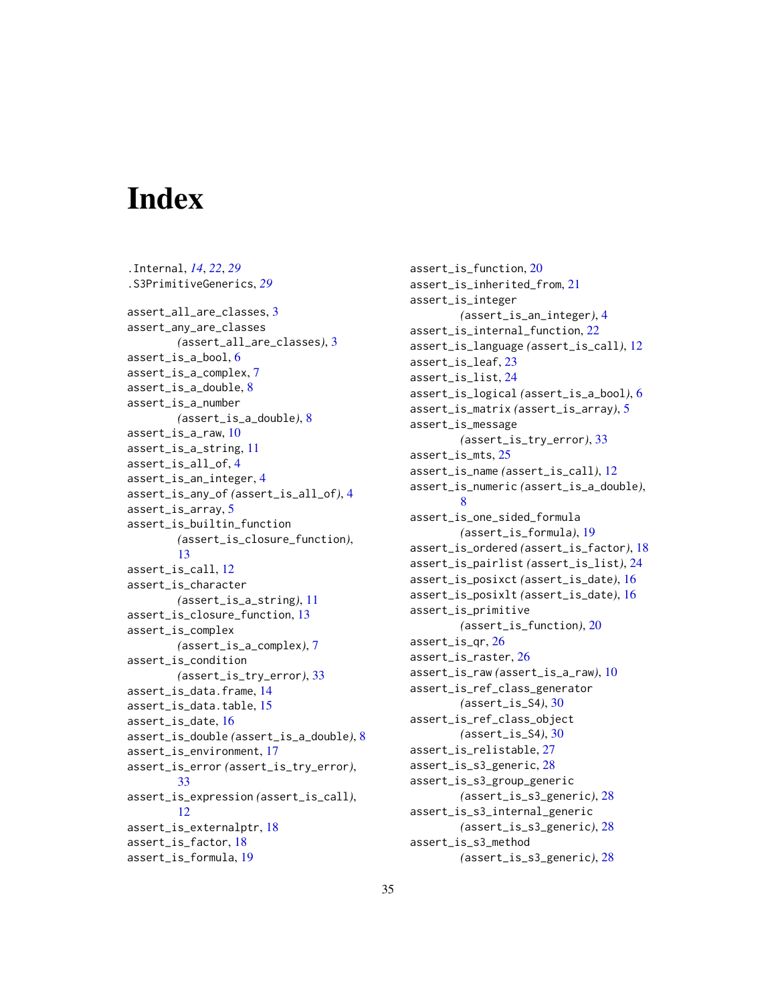# <span id="page-34-0"></span>Index

.Internal, *[14](#page-13-0)*, *[22](#page-21-0)*, *[29](#page-28-0)* .S3PrimitiveGenerics, *[29](#page-28-0)* assert\_all\_are\_classes, [3](#page-2-0) assert\_any\_are\_classes *(*assert\_all\_are\_classes*)*, [3](#page-2-0) assert\_is\_a\_bool, [6](#page-5-0) assert\_is\_a\_complex, [7](#page-6-0) assert\_is\_a\_double, [8](#page-7-0) assert\_is\_a\_number *(*assert\_is\_a\_double*)*, [8](#page-7-0) assert\_is\_a\_raw, [10](#page-9-0) assert\_is\_a\_string, [11](#page-10-0) assert\_is\_all\_of, [4](#page-3-0) assert\_is\_an\_integer, [4](#page-3-0) assert\_is\_any\_of *(*assert\_is\_all\_of*)*, [4](#page-3-0) assert\_is\_array, [5](#page-4-0) assert\_is\_builtin\_function *(*assert\_is\_closure\_function*)*, [13](#page-12-0) assert\_is\_call, [12](#page-11-0) assert\_is\_character *(*assert\_is\_a\_string*)*, [11](#page-10-0) assert\_is\_closure\_function, [13](#page-12-0) assert\_is\_complex *(*assert\_is\_a\_complex*)*, [7](#page-6-0) assert\_is\_condition *(*assert\_is\_try\_error*)*, [33](#page-32-0) assert\_is\_data.frame, [14](#page-13-0) assert\_is\_data.table, [15](#page-14-0) assert\_is\_date, [16](#page-15-0) assert\_is\_double *(*assert\_is\_a\_double*)*, [8](#page-7-0) assert\_is\_environment, [17](#page-16-0) assert\_is\_error *(*assert\_is\_try\_error*)*, [33](#page-32-0) assert\_is\_expression *(*assert\_is\_call*)*, [12](#page-11-0) assert\_is\_externalptr, [18](#page-17-0) assert\_is\_factor, [18](#page-17-0) assert\_is\_formula, [19](#page-18-0)

assert\_is\_function, [20](#page-19-0) assert\_is\_inherited\_from, [21](#page-20-0) assert\_is\_integer *(*assert\_is\_an\_integer*)*, [4](#page-3-0) assert\_is\_internal\_function, [22](#page-21-0) assert\_is\_language *(*assert\_is\_call*)*, [12](#page-11-0) assert\_is\_leaf, [23](#page-22-0) assert\_is\_list, [24](#page-23-0) assert\_is\_logical *(*assert\_is\_a\_bool*)*, [6](#page-5-0) assert\_is\_matrix *(*assert\_is\_array*)*, [5](#page-4-0) assert\_is\_message *(*assert\_is\_try\_error*)*, [33](#page-32-0) assert\_is\_mts, [25](#page-24-0) assert\_is\_name *(*assert\_is\_call*)*, [12](#page-11-0) assert\_is\_numeric *(*assert\_is\_a\_double*)*, [8](#page-7-0) assert\_is\_one\_sided\_formula *(*assert\_is\_formula*)*, [19](#page-18-0) assert\_is\_ordered *(*assert\_is\_factor*)*, [18](#page-17-0) assert\_is\_pairlist *(*assert\_is\_list*)*, [24](#page-23-0) assert\_is\_posixct *(*assert\_is\_date*)*, [16](#page-15-0) assert\_is\_posixlt *(*assert\_is\_date*)*, [16](#page-15-0) assert\_is\_primitive *(*assert\_is\_function*)*, [20](#page-19-0) assert\_is\_qr, [26](#page-25-0) assert\_is\_raster, [26](#page-25-0) assert\_is\_raw *(*assert\_is\_a\_raw*)*, [10](#page-9-0) assert\_is\_ref\_class\_generator *(*assert\_is\_S4*)*, [30](#page-29-0) assert\_is\_ref\_class\_object *(*assert\_is\_S4*)*, [30](#page-29-0) assert\_is\_relistable, [27](#page-26-0) assert\_is\_s3\_generic, [28](#page-27-0) assert\_is\_s3\_group\_generic *(*assert\_is\_s3\_generic*)*, [28](#page-27-0) assert\_is\_s3\_internal\_generic *(*assert\_is\_s3\_generic*)*, [28](#page-27-0) assert\_is\_s3\_method *(*assert\_is\_s3\_generic*)*, [28](#page-27-0)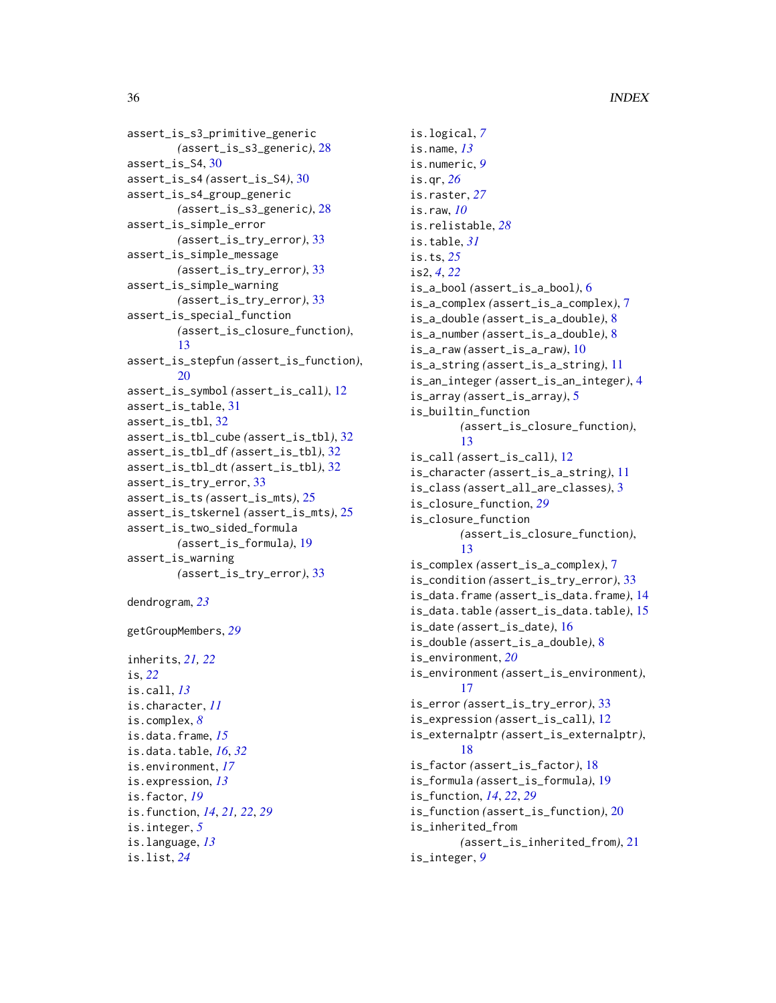```
assert_is_s3_primitive_generic
        (assert_is_s3_generic), 28
assert_is_S4, 30
assert_is_s4 (assert_is_S4), 30
assert_is_s4_group_generic
        (assert_is_s3_generic), 28
assert_is_simple_error
        (assert_is_try_error), 33
assert_is_simple_message
        (assert_is_try_error), 33
assert_is_simple_warning
        (assert_is_try_error), 33
assert_is_special_function
        (assert_is_closure_function),
        13
assert_is_stepfun (assert_is_function),
        20
assert_is_symbol (assert_is_call), 12
assert_is_table, 31
assert_is_tbl, 32
assert_is_tbl_cube (assert_is_tbl), 32
assert_is_tbl_df (assert_is_tbl), 32
assert_is_tbl_dt (assert_is_tbl), 32
assert_is_try_error, 33
assert_is_ts (assert_is_mts), 25
assert_is_tskernel (assert_is_mts), 25
assert_is_two_sided_formula
        (assert_is_formula), 19
assert_is_warning
        (assert_is_try_error), 33
```

```
dendrogram, 23
```
getGroupMembers, *[29](#page-28-0)*

inherits, *[21,](#page-20-0) [22](#page-21-0)* is, *[22](#page-21-0)* is.call, *[13](#page-12-0)* is.character, *[11](#page-10-0)* is.complex, *[8](#page-7-0)* is.data.frame, *[15](#page-14-0)* is.data.table, *[16](#page-15-0)*, *[32](#page-31-0)* is.environment, *[17](#page-16-0)* is.expression, *[13](#page-12-0)* is.factor, *[19](#page-18-0)* is.function, *[14](#page-13-0)*, *[21,](#page-20-0) [22](#page-21-0)*, *[29](#page-28-0)* is.integer, *[5](#page-4-0)* is.language, *[13](#page-12-0)* is.list, *[24](#page-23-0)*

is.logical, *[7](#page-6-0)* is.name, *[13](#page-12-0)* is.numeric, *[9](#page-8-0)* is.qr, *[26](#page-25-0)* is.raster, *[27](#page-26-0)* is.raw, *[10](#page-9-0)* is.relistable, *[28](#page-27-0)* is.table, *[31](#page-30-0)* is.ts, *[25](#page-24-0)* is2, *[4](#page-3-0)*, *[22](#page-21-0)* is\_a\_bool *(*assert\_is\_a\_bool*)*, [6](#page-5-0) is\_a\_complex *(*assert\_is\_a\_complex*)*, [7](#page-6-0) is\_a\_double *(*assert\_is\_a\_double*)*, [8](#page-7-0) is\_a\_number *(*assert\_is\_a\_double*)*, [8](#page-7-0) is\_a\_raw *(*assert\_is\_a\_raw*)*, [10](#page-9-0) is\_a\_string *(*assert\_is\_a\_string*)*, [11](#page-10-0) is\_an\_integer *(*assert\_is\_an\_integer*)*, [4](#page-3-0) is\_array *(*assert\_is\_array*)*, [5](#page-4-0) is\_builtin\_function *(*assert\_is\_closure\_function*)*, [13](#page-12-0) is\_call *(*assert\_is\_call*)*, [12](#page-11-0) is\_character *(*assert\_is\_a\_string*)*, [11](#page-10-0) is\_class *(*assert\_all\_are\_classes*)*, [3](#page-2-0) is\_closure\_function, *[29](#page-28-0)* is\_closure\_function *(*assert\_is\_closure\_function*)*, [13](#page-12-0) is\_complex *(*assert\_is\_a\_complex*)*, [7](#page-6-0) is\_condition *(*assert\_is\_try\_error*)*, [33](#page-32-0) is\_data.frame *(*assert\_is\_data.frame*)*, [14](#page-13-0) is\_data.table *(*assert\_is\_data.table*)*, [15](#page-14-0) is\_date *(*assert\_is\_date*)*, [16](#page-15-0) is\_double *(*assert\_is\_a\_double*)*, [8](#page-7-0) is\_environment, *[20](#page-19-0)* is\_environment *(*assert\_is\_environment*)*, [17](#page-16-0) is\_error *(*assert\_is\_try\_error*)*, [33](#page-32-0) is\_expression *(*assert\_is\_call*)*, [12](#page-11-0) is\_externalptr *(*assert\_is\_externalptr*)*, [18](#page-17-0) is\_factor *(*assert\_is\_factor*)*, [18](#page-17-0) is\_formula *(*assert\_is\_formula*)*, [19](#page-18-0) is\_function, *[14](#page-13-0)*, *[22](#page-21-0)*, *[29](#page-28-0)* is\_function *(*assert\_is\_function*)*, [20](#page-19-0) is\_inherited\_from *(*assert\_is\_inherited\_from*)*, [21](#page-20-0) is\_integer, *[9](#page-8-0)*